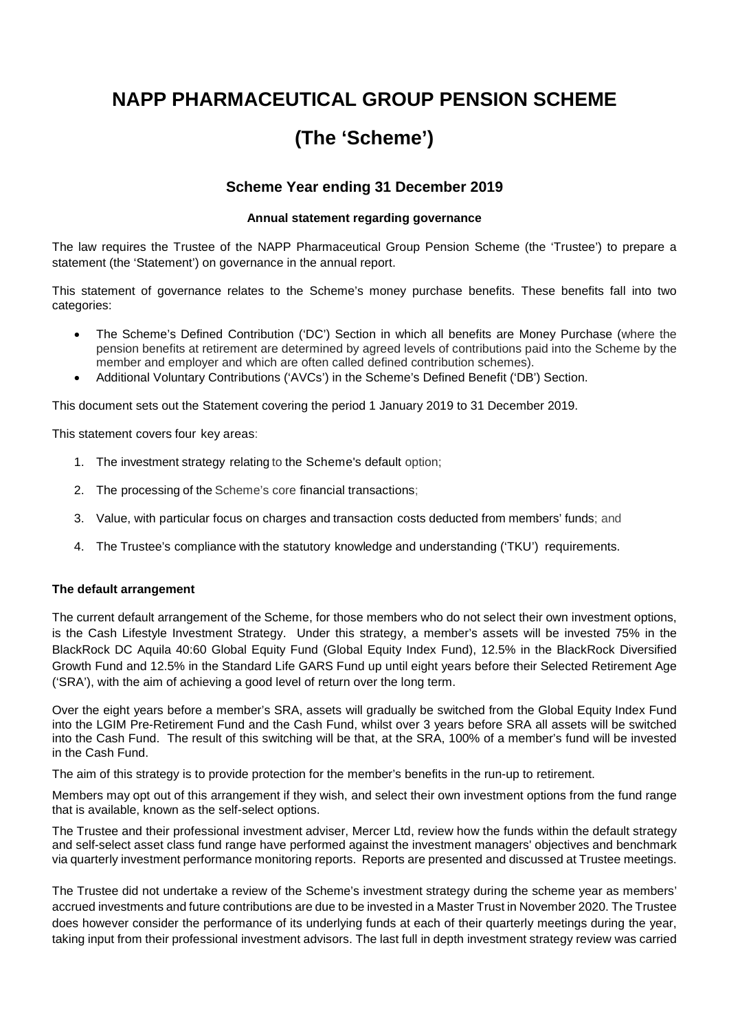# **NAPP PHARMACEUTICAL GROUP PENSION SCHEME**

# **(The 'Scheme')**

# **Scheme Year ending 31 December 2019**

### **Annual statement regarding governance**

The law requires the Trustee of the NAPP Pharmaceutical Group Pension Scheme (the 'Trustee') to prepare a statement (the 'Statement') on governance in the annual report.

This statement of governance relates to the Scheme's money purchase benefits. These benefits fall into two categories:

- The Scheme's Defined Contribution ('DC') Section in which all benefits are Money Purchase (where the pension benefits at retirement are determined by agreed levels of contributions paid into the Scheme by the member and employer and which are often called defined contribution schemes).
- Additional Voluntary Contributions ('AVCs') in the Scheme's Defined Benefit ('DB') Section.

This document sets out the Statement covering the period 1 January 2019 to 31 December 2019.

This statement covers four key areas:

- 1. The investment strategy relating to the Scheme's default option;
- 2. The processing of the Scheme's core financial transactions;
- 3. Value, with particular focus on charges and transaction costs deducted from members' funds; and
- 4. The Trustee's compliance with the statutory knowledge and understanding ('TKU') requirements.

#### **The default arrangement**

The current default arrangement of the Scheme, for those members who do not select their own investment options, is the Cash Lifestyle Investment Strategy. Under this strategy, a member's assets will be invested 75% in the BlackRock DC Aquila 40:60 Global Equity Fund (Global Equity Index Fund), 12.5% in the BlackRock Diversified Growth Fund and 12.5% in the Standard Life GARS Fund up until eight years before their Selected Retirement Age ('SRA'), with the aim of achieving a good level of return over the long term.

Over the eight years before a member's SRA, assets will gradually be switched from the Global Equity Index Fund into the LGIM Pre-Retirement Fund and the Cash Fund, whilst over 3 years before SRA all assets will be switched into the Cash Fund. The result of this switching will be that, at the SRA, 100% of a member's fund will be invested in the Cash Fund.

The aim of this strategy is to provide protection for the member's benefits in the run-up to retirement.

Members may opt out of this arrangement if they wish, and select their own investment options from the fund range that is available, known as the self-select options.

The Trustee and their professional investment adviser, Mercer Ltd, review how the funds within the default strategy and self-select asset class fund range have performed against the investment managers' objectives and benchmark via quarterly investment performance monitoring reports. Reports are presented and discussed at Trustee meetings.

The Trustee did not undertake a review of the Scheme's investment strategy during the scheme year as members' accrued investments and future contributions are due to be invested in a Master Trust in November 2020. The Trustee does however consider the performance of its underlying funds at each of their quarterly meetings during the year, taking input from their professional investment advisors. The last full in depth investment strategy review was carried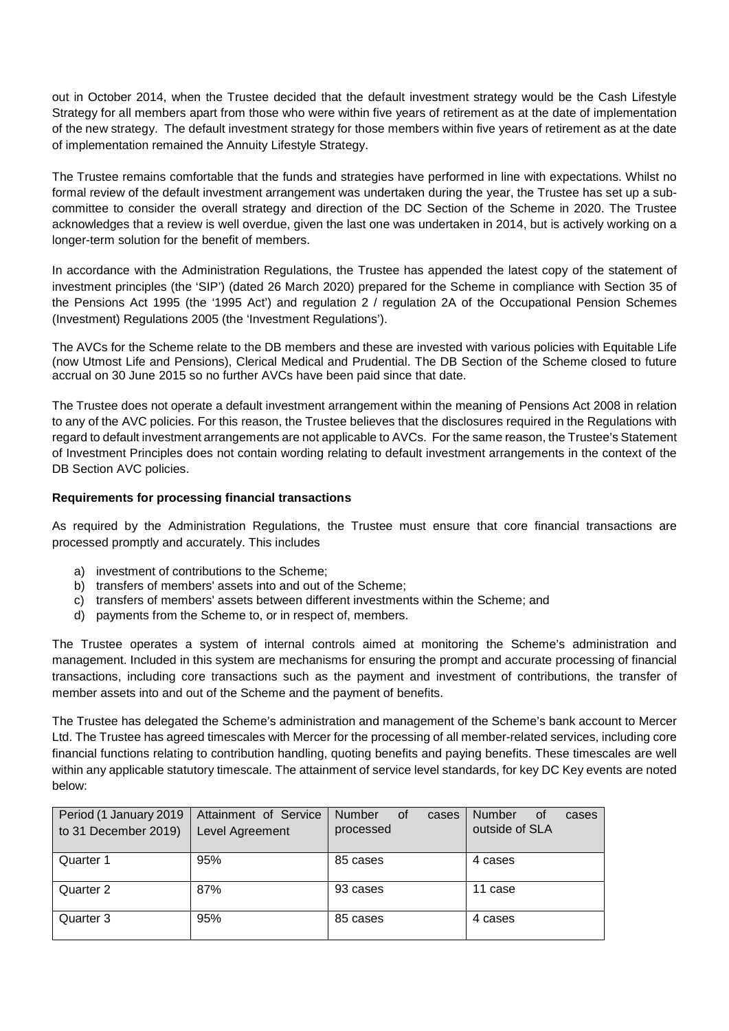out in October 2014, when the Trustee decided that the default investment strategy would be the Cash Lifestyle Strategy for all members apart from those who were within five years of retirement as at the date of implementation of the new strategy. The default investment strategy for those members within five years of retirement as at the date of implementation remained the Annuity Lifestyle Strategy.

The Trustee remains comfortable that the funds and strategies have performed in line with expectations. Whilst no formal review of the default investment arrangement was undertaken during the year, the Trustee has set up a subcommittee to consider the overall strategy and direction of the DC Section of the Scheme in 2020. The Trustee acknowledges that a review is well overdue, given the last one was undertaken in 2014, but is actively working on a longer-term solution for the benefit of members.

In accordance with the Administration Regulations, the Trustee has appended the latest copy of the statement of investment principles (the 'SIP') (dated 26 March 2020) prepared for the Scheme in compliance with Section 35 of the Pensions Act 1995 (the '1995 Act') and regulation 2 / regulation 2A of the Occupational Pension Schemes (Investment) Regulations 2005 (the 'Investment Regulations').

The AVCs for the Scheme relate to the DB members and these are invested with various policies with Equitable Life (now Utmost Life and Pensions), Clerical Medical and Prudential. The DB Section of the Scheme closed to future accrual on 30 June 2015 so no further AVCs have been paid since that date.

The Trustee does not operate a default investment arrangement within the meaning of Pensions Act 2008 in relation to any of the AVC policies. For this reason, the Trustee believes that the disclosures required in the Regulations with regard to default investment arrangements are not applicable to AVCs. For the same reason, the Trustee's Statement of Investment Principles does not contain wording relating to default investment arrangements in the context of the DB Section AVC policies.

## **Requirements for processing financial transactions**

As required by the Administration Regulations, the Trustee must ensure that core financial transactions are processed promptly and accurately. This includes

- a) investment of contributions to the Scheme;
- b) transfers of members' assets into and out of the Scheme;
- c) transfers of members' assets between different investments within the Scheme; and
- d) payments from the Scheme to, or in respect of, members.

The Trustee operates a system of internal controls aimed at monitoring the Scheme's administration and management. Included in this system are mechanisms for ensuring the prompt and accurate processing of financial transactions, including core transactions such as the payment and investment of contributions, the transfer of member assets into and out of the Scheme and the payment of benefits.

The Trustee has delegated the Scheme's administration and management of the Scheme's bank account to Mercer Ltd. The Trustee has agreed timescales with Mercer for the processing of all member-related services, including core financial functions relating to contribution handling, quoting benefits and paying benefits. These timescales are well within any applicable statutory timescale. The attainment of service level standards, for key DC Key events are noted below:

| Period (1 January 2019<br>to 31 December 2019) | Attainment of Service<br>Level Agreement | <b>Number</b><br>0f<br>cases<br>processed | <b>Number</b><br>cases<br>0t<br>outside of SLA |
|------------------------------------------------|------------------------------------------|-------------------------------------------|------------------------------------------------|
| Quarter 1                                      | 95%                                      | 85 cases                                  | 4 cases                                        |
| Quarter 2                                      | 87%                                      | 93 cases                                  | 11 case                                        |
| Quarter 3                                      | 95%                                      | 85 cases                                  | 4 cases                                        |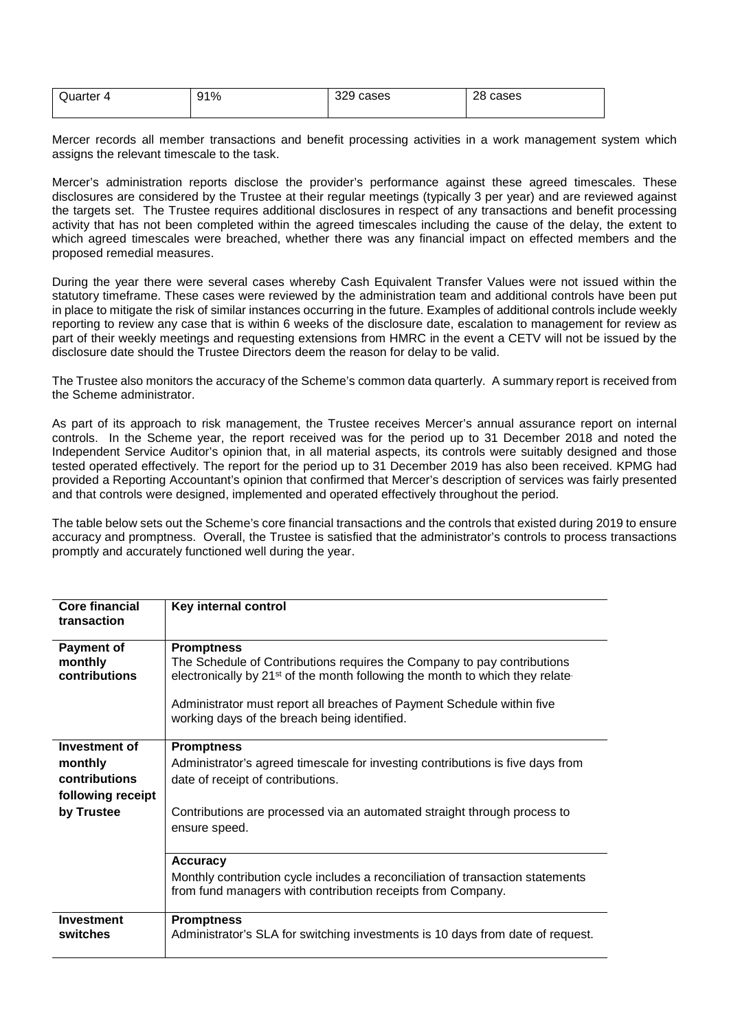| Quarter<br>4 | 91% | 329<br>cases | າຂ<br>cases<br>20 |
|--------------|-----|--------------|-------------------|
|              |     |              |                   |

Mercer records all member transactions and benefit processing activities in a work management system which assigns the relevant timescale to the task.

Mercer's administration reports disclose the provider's performance against these agreed timescales. These disclosures are considered by the Trustee at their regular meetings (typically 3 per year) and are reviewed against the targets set. The Trustee requires additional disclosures in respect of any transactions and benefit processing activity that has not been completed within the agreed timescales including the cause of the delay, the extent to which agreed timescales were breached, whether there was any financial impact on effected members and the proposed remedial measures.

During the year there were several cases whereby Cash Equivalent Transfer Values were not issued within the statutory timeframe. These cases were reviewed by the administration team and additional controls have been put in place to mitigate the risk of similar instances occurring in the future. Examples of additional controls include weekly reporting to review any case that is within 6 weeks of the disclosure date, escalation to management for review as part of their weekly meetings and requesting extensions from HMRC in the event a CETV will not be issued by the disclosure date should the Trustee Directors deem the reason for delay to be valid.

The Trustee also monitors the accuracy of the Scheme's common data quarterly. A summary report is received from the Scheme administrator.

As part of its approach to risk management, the Trustee receives Mercer's annual assurance report on internal controls. In the Scheme year, the report received was for the period up to 31 December 2018 and noted the Independent Service Auditor's opinion that, in all material aspects, its controls were suitably designed and those tested operated effectively. The report for the period up to 31 December 2019 has also been received. KPMG had provided a Reporting Accountant's opinion that confirmed that Mercer's description of services was fairly presented and that controls were designed, implemented and operated effectively throughout the period.

The table below sets out the Scheme's core financial transactions and the controls that existed during 2019 to ensure accuracy and promptness. Overall, the Trustee is satisfied that the administrator's controls to process transactions promptly and accurately functioned well during the year.

| Core financial<br>transaction | Key internal control                                                                                                                                                |
|-------------------------------|---------------------------------------------------------------------------------------------------------------------------------------------------------------------|
| Payment of                    | <b>Promptness</b>                                                                                                                                                   |
| monthly<br>contributions      | The Schedule of Contributions requires the Company to pay contributions<br>electronically by 21 <sup>st</sup> of the month following the month to which they relate |
|                               | Administrator must report all breaches of Payment Schedule within five<br>working days of the breach being identified.                                              |
| Investment of                 | <b>Promptness</b>                                                                                                                                                   |
| monthly                       | Administrator's agreed timescale for investing contributions is five days from                                                                                      |
| contributions                 | date of receipt of contributions.                                                                                                                                   |
| following receipt             |                                                                                                                                                                     |
| by Trustee                    | Contributions are processed via an automated straight through process to<br>ensure speed.                                                                           |
|                               | <b>Accuracy</b>                                                                                                                                                     |
|                               | Monthly contribution cycle includes a reconciliation of transaction statements<br>from fund managers with contribution receipts from Company.                       |
| <b>Investment</b>             | <b>Promptness</b>                                                                                                                                                   |
| switches                      | Administrator's SLA for switching investments is 10 days from date of request.                                                                                      |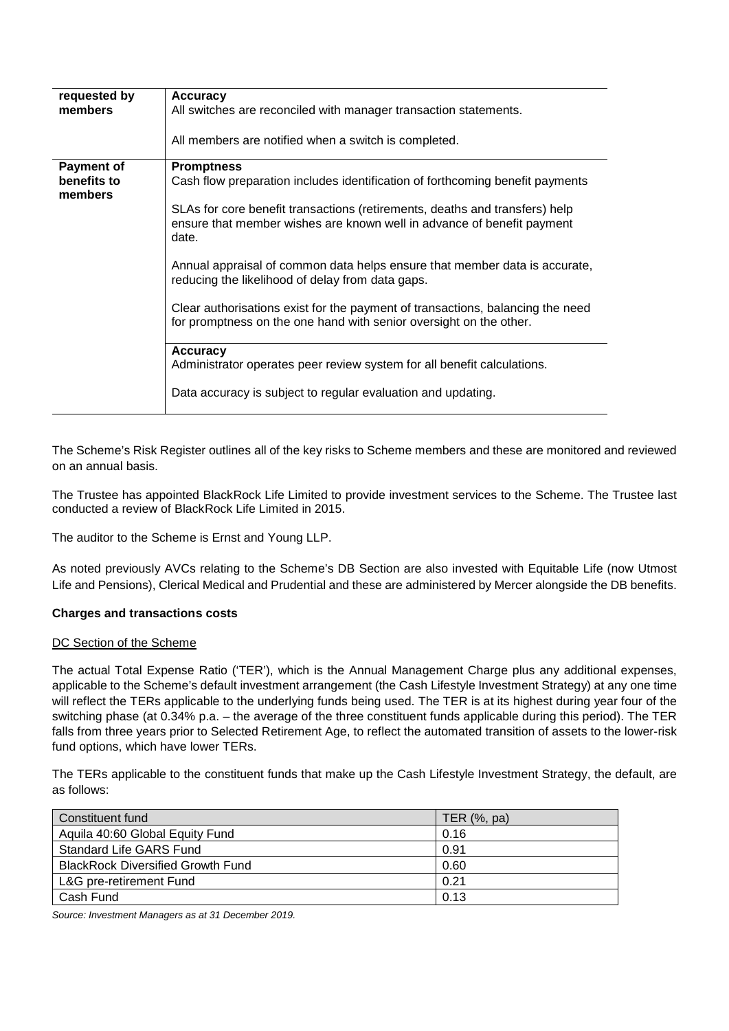| Accuracy                                                                                                                                                       |
|----------------------------------------------------------------------------------------------------------------------------------------------------------------|
| All switches are reconciled with manager transaction statements.                                                                                               |
| All members are notified when a switch is completed.                                                                                                           |
| <b>Promptness</b>                                                                                                                                              |
| Cash flow preparation includes identification of forthcoming benefit payments                                                                                  |
| SLAs for core benefit transactions (retirements, deaths and transfers) help<br>ensure that member wishes are known well in advance of benefit payment<br>date. |
| Annual appraisal of common data helps ensure that member data is accurate,<br>reducing the likelihood of delay from data gaps.                                 |
| Clear authorisations exist for the payment of transactions, balancing the need<br>for promptness on the one hand with senior oversight on the other.           |
| <b>Accuracy</b>                                                                                                                                                |
| Administrator operates peer review system for all benefit calculations.                                                                                        |
| Data accuracy is subject to regular evaluation and updating.                                                                                                   |
|                                                                                                                                                                |

The Scheme's Risk Register outlines all of the key risks to Scheme members and these are monitored and reviewed on an annual basis.

The Trustee has appointed BlackRock Life Limited to provide investment services to the Scheme. The Trustee last conducted a review of BlackRock Life Limited in 2015.

The auditor to the Scheme is Ernst and Young LLP.

As noted previously AVCs relating to the Scheme's DB Section are also invested with Equitable Life (now Utmost Life and Pensions), Clerical Medical and Prudential and these are administered by Mercer alongside the DB benefits.

#### **Charges and transactions costs**

#### DC Section of the Scheme

The actual Total Expense Ratio ('TER'), which is the Annual Management Charge plus any additional expenses, applicable to the Scheme's default investment arrangement (the Cash Lifestyle Investment Strategy) at any one time will reflect the TERs applicable to the underlying funds being used. The TER is at its highest during year four of the switching phase (at 0.34% p.a. – the average of the three constituent funds applicable during this period). The TER falls from three years prior to Selected Retirement Age, to reflect the automated transition of assets to the lower-risk fund options, which have lower TERs.

The TERs applicable to the constituent funds that make up the Cash Lifestyle Investment Strategy, the default, are as follows:

| Constituent fund                         | TER $(\%$ , pa) |
|------------------------------------------|-----------------|
| Aquila 40:60 Global Equity Fund          | 0.16            |
| Standard Life GARS Fund                  | 0.91            |
| <b>BlackRock Diversified Growth Fund</b> | 0.60            |
| L&G pre-retirement Fund                  | 0.21            |
| Cash Fund                                | 0.13            |

*Source: Investment Managers as at 31 December 2019.*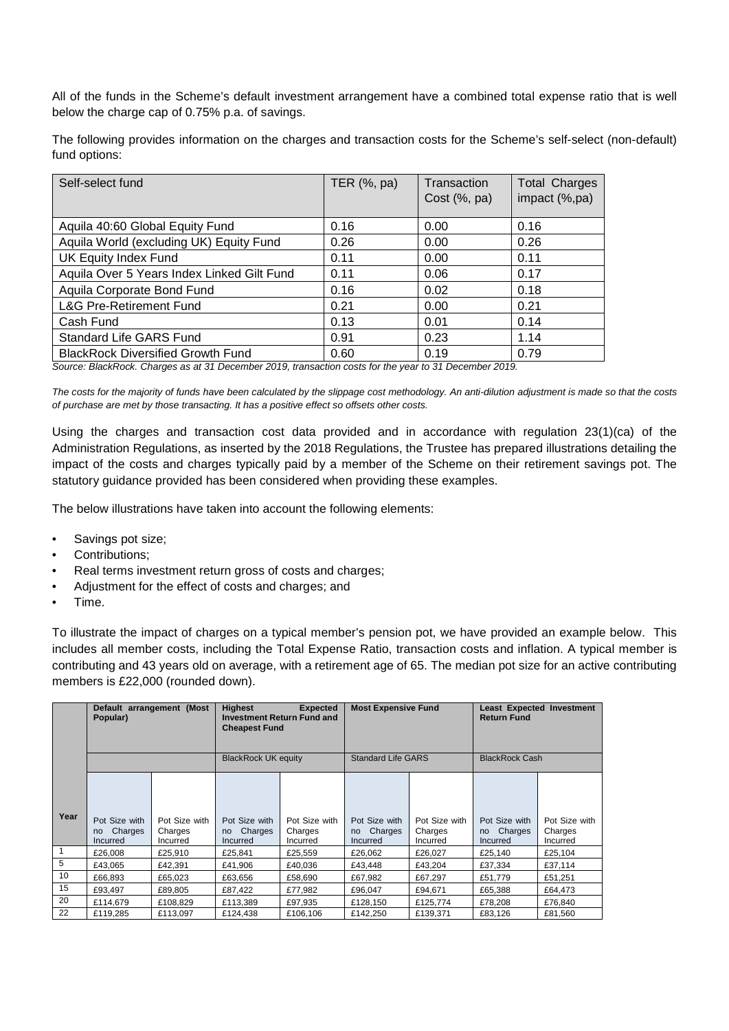All of the funds in the Scheme's default investment arrangement have a combined total expense ratio that is well below the charge cap of 0.75% p.a. of savings.

The following provides information on the charges and transaction costs for the Scheme's self-select (non-default) fund options:

| Self-select fund                           | TER (%, pa) | Transaction<br>Cost $(\%$ , pa) | <b>Total Charges</b><br>impact (%,pa) |
|--------------------------------------------|-------------|---------------------------------|---------------------------------------|
| Aquila 40:60 Global Equity Fund            | 0.16        | 0.00                            | 0.16                                  |
| Aquila World (excluding UK) Equity Fund    | 0.26        | 0.00                            | 0.26                                  |
| UK Equity Index Fund                       | 0.11        | 0.00                            | 0.11                                  |
| Aquila Over 5 Years Index Linked Gilt Fund | 0.11        | 0.06                            | 0.17                                  |
| Aquila Corporate Bond Fund                 | 0.16        | 0.02                            | 0.18                                  |
| <b>L&amp;G Pre-Retirement Fund</b>         | 0.21        | 0.00                            | 0.21                                  |
| Cash Fund                                  | 0.13        | 0.01                            | 0.14                                  |
| <b>Standard Life GARS Fund</b>             | 0.91        | 0.23                            | 1.14                                  |
| <b>BlackRock Diversified Growth Fund</b>   | 0.60        | 0.19                            | 0.79                                  |

*Source: BlackRock. Charges as at 31 December 2019, transaction costs for the year to 31 December 2019.*

*The costs for the majority of funds have been calculated by the slippage cost methodology. An anti-dilution adjustment is made so that the costs of purchase are met by those transacting. It has a positive effect so offsets other costs.*

Using the charges and transaction cost data provided and in accordance with regulation 23(1)(ca) of the Administration Regulations, as inserted by the 2018 Regulations, the Trustee has prepared illustrations detailing the impact of the costs and charges typically paid by a member of the Scheme on their retirement savings pot. The statutory guidance provided has been considered when providing these examples.

The below illustrations have taken into account the following elements:

- Savings pot size;
- Contributions:
- Real terms investment return gross of costs and charges:
- Adjustment for the effect of costs and charges; and
- Time.

To illustrate the impact of charges on a typical member's pension pot, we have provided an example below. This includes all member costs, including the Total Expense Ratio, transaction costs and inflation. A typical member is contributing and 43 years old on average, with a retirement age of 65. The median pot size for an active contributing members is £22,000 (rounded down).

|              | Default arrangement (Most<br>Popular)       |                                      | <b>Highest</b><br><b>Expected</b><br><b>Investment Return Fund and</b><br><b>Cheapest Fund</b> |                                      | <b>Most Expensive Fund</b>                            |                                      | <b>Least Expected Investment</b><br><b>Return Fund</b> |                                      |
|--------------|---------------------------------------------|--------------------------------------|------------------------------------------------------------------------------------------------|--------------------------------------|-------------------------------------------------------|--------------------------------------|--------------------------------------------------------|--------------------------------------|
|              |                                             |                                      | <b>BlackRock UK equity</b>                                                                     |                                      | <b>Standard Life GARS</b>                             |                                      | <b>BlackRock Cash</b>                                  |                                      |
| Year         | Pot Size with<br>Charges<br>no.<br>Incurred | Pot Size with<br>Charges<br>Incurred | Pot Size with<br>Charges<br>no<br>Incurred                                                     | Pot Size with<br>Charges<br>Incurred | Pot Size with<br>Charges<br><sub>no</sub><br>Incurred | Pot Size with<br>Charges<br>Incurred | Pot Size with<br>Charges<br>no<br>Incurred             | Pot Size with<br>Charges<br>Incurred |
| $\mathbf{1}$ | £26,008                                     | £25.910                              | £25,841                                                                                        | £25,559                              | £26,062                                               | £26,027                              | £25,140                                                | £25,104                              |
| 5            | £43,065                                     | £42.391                              | £41,906                                                                                        | £40,036                              | £43,448                                               | £43,204                              | £37,334                                                | £37,114                              |
| 10           | £66,893                                     | £65,023                              | £63,656                                                                                        | £58,690                              | £67,982                                               | £67,297                              | £51.779                                                | £51,251                              |
| 15           | £93.497                                     | £89.805                              | £87,422                                                                                        | £77.982                              | £96.047                                               | £94.671                              | £65,388                                                | £64.473                              |
| 20           | £114.679                                    | £108.829                             | £113.389                                                                                       | £97.935                              | £128.150                                              | £125.774                             | £78.208                                                | £76.840                              |
| 22           | £119.285                                    | £113,097                             | £124.438                                                                                       | £106.106                             | £142.250                                              | £139.371                             | £83.126                                                | £81.560                              |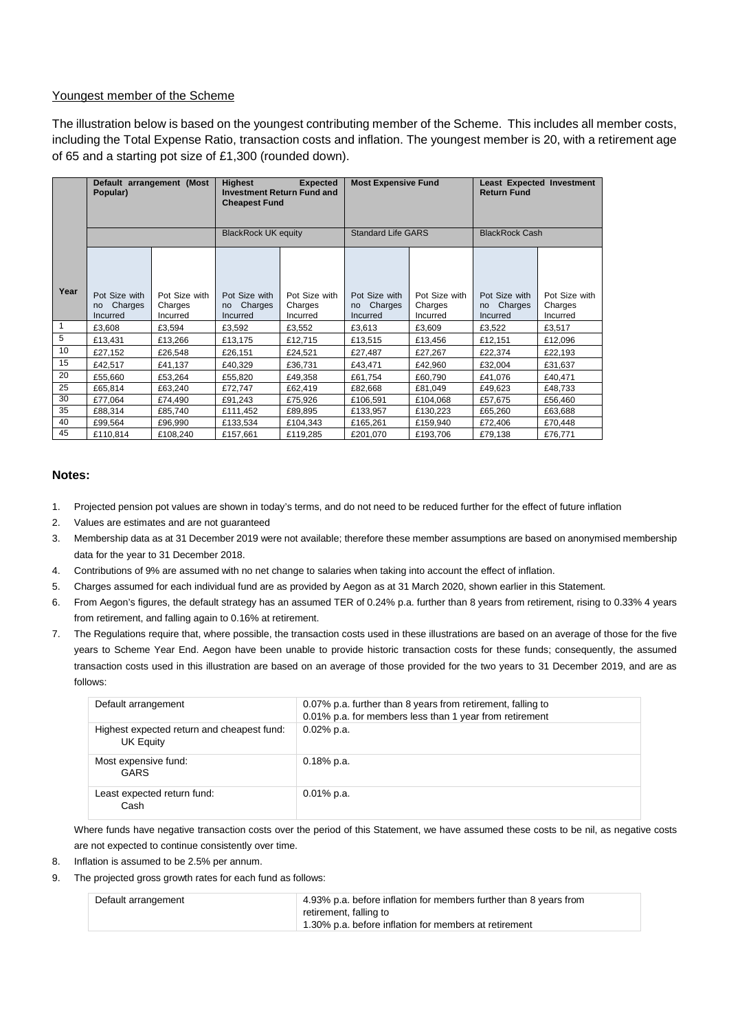#### Youngest member of the Scheme

The illustration below is based on the youngest contributing member of the Scheme. This includes all member costs, including the Total Expense Ratio, transaction costs and inflation. The youngest member is 20, with a retirement age of 65 and a starting pot size of £1,300 (rounded down).

|                | Default arrangement (Most<br>Popular)      |                                      | <b>Highest</b><br><b>Cheapest Fund</b>     | <b>Expected</b><br><b>Investment Return Fund and</b> | <b>Most Expensive Fund</b>                 |                                      | <b>Return Fund</b>                                           | Least Expected Investment            |
|----------------|--------------------------------------------|--------------------------------------|--------------------------------------------|------------------------------------------------------|--------------------------------------------|--------------------------------------|--------------------------------------------------------------|--------------------------------------|
|                |                                            |                                      | <b>BlackRock UK equity</b>                 |                                                      | <b>Standard Life GARS</b>                  |                                      | <b>BlackRock Cash</b>                                        |                                      |
| Year           | Pot Size with<br>Charges<br>no<br>Incurred | Pot Size with<br>Charges<br>Incurred | Pot Size with<br>Charges<br>no<br>Incurred | Pot Size with<br>Charges<br>Incurred                 | Pot Size with<br>Charges<br>no<br>Incurred | Pot Size with<br>Charges<br>Incurred | Pot Size with<br>Charges<br><sub>no</sub><br><b>Incurred</b> | Pot Size with<br>Charges<br>Incurred |
| $\overline{1}$ | £3,608                                     | £3,594                               | £3,592                                     | £3,552                                               | £3,613                                     | £3,609                               | £3,522                                                       | £3,517                               |
| 5              | £13,431                                    | £13,266                              | £13,175                                    | £12,715                                              | £13,515                                    | £13,456                              | £12,151                                                      | £12,096                              |
| 10             | £27,152                                    | £26.548                              | £26,151                                    | £24,521                                              | £27,487                                    | £27,267                              | £22,374                                                      | £22,193                              |
| 15             | £42,517                                    | £41,137                              | £40,329                                    | £36,731                                              | £43,471                                    | £42,960                              | £32,004                                                      | £31,637                              |
| 20             | £55,660                                    | £53,264                              | £55,820                                    | £49,358                                              | £61,754                                    | £60,790                              | £41,076                                                      | £40,471                              |
| 25             | £65.814                                    | £63.240                              | £72,747                                    | £62,419                                              | £82.668                                    | £81.049                              | £49.623                                                      | £48.733                              |
| 30             | £77,064                                    | £74,490                              | £91,243                                    | £75,926                                              | £106,591                                   | £104,068                             | £57,675                                                      | £56,460                              |
| 35             | £88,314                                    | £85,740                              | £111,452                                   | £89,895                                              | £133,957                                   | £130,223                             | £65,260                                                      | £63,688                              |
| 40             | £99,564                                    | £96,990                              | £133,534                                   | £104,343                                             | £165,261                                   | £159,940                             | £72,406                                                      | £70,448                              |
| 45             | £110,814                                   | £108,240                             | £157,661                                   | £119,285                                             | £201,070                                   | £193,706                             | £79,138                                                      | £76,771                              |

#### **Notes:**

- 1. Projected pension pot values are shown in today's terms, and do not need to be reduced further for the effect of future inflation
- 2. Values are estimates and are not guaranteed
- 3. Membership data as at 31 December 2019 were not available; therefore these member assumptions are based on anonymised membership data for the year to 31 December 2018.
- 4. Contributions of 9% are assumed with no net change to salaries when taking into account the effect of inflation.
- 5. Charges assumed for each individual fund are as provided by Aegon as at 31 March 2020, shown earlier in this Statement.
- 6. From Aegon's figures, the default strategy has an assumed TER of 0.24% p.a. further than 8 years from retirement, rising to 0.33% 4 years from retirement, and falling again to 0.16% at retirement.
- 7. The Regulations require that, where possible, the transaction costs used in these illustrations are based on an average of those for the five years to Scheme Year End. Aegon have been unable to provide historic transaction costs for these funds; consequently, the assumed transaction costs used in this illustration are based on an average of those provided for the two years to 31 December 2019, and are as follows:

| Default arrangement                                     | 0.07% p.a. further than 8 years from retirement, falling to<br>0.01% p.a. for members less than 1 year from retirement |
|---------------------------------------------------------|------------------------------------------------------------------------------------------------------------------------|
| Highest expected return and cheapest fund:<br>UK Equity | $0.02\%$ p.a.                                                                                                          |
| Most expensive fund:<br>GARS                            | $0.18\%$ p.a.                                                                                                          |
| Least expected return fund:<br>Cash                     | $0.01\%$ p.a.                                                                                                          |

Where funds have negative transaction costs over the period of this Statement, we have assumed these costs to be nil, as negative costs are not expected to continue consistently over time.

- 8. Inflation is assumed to be 2.5% per annum.
- 9. The projected gross growth rates for each fund as follows:

| Default arrangement | 4.93% p.a. before inflation for members further than 8 years from |
|---------------------|-------------------------------------------------------------------|
|                     | retirement, falling to                                            |
|                     | 1.30% p.a. before inflation for members at retirement             |
|                     |                                                                   |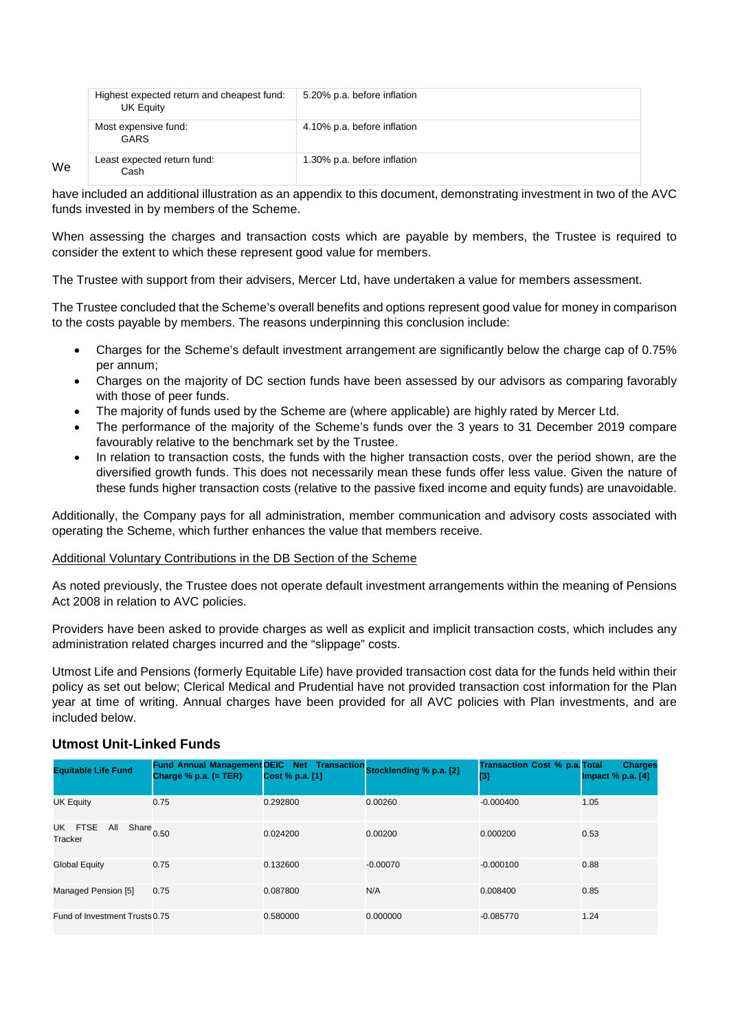|    | Highest expected return and cheapest fund:<br>UK Equity | 5.20% p.a. before inflation |
|----|---------------------------------------------------------|-----------------------------|
|    | Most expensive fund:<br>GARS                            | 4.10% p.a. before inflation |
| We | Least expected return fund:<br>Cash                     | 1.30% p.a. before inflation |

have included an additional illustration as an appendix to this document, demonstrating investment in two of the AVC funds invested in by members of the Scheme.

When assessing the charges and transaction costs which are payable by members, the Trustee is required to consider the extent to which these represent good value for members.

The Trustee with support from their advisers, Mercer Ltd, have undertaken a value for members assessment.

The Trustee concluded that the Scheme's overall benefits and options represent good value for money in comparison to the costs payable by members. The reasons underpinning this conclusion include:

- Charges for the Scheme's default investment arrangement are significantly below the charge cap of 0.75% per annum;
- Charges on the majority of DC section funds have been assessed by our advisors as comparing favorably with those of peer funds.
- The majority of funds used by the Scheme are (where applicable) are highly rated by Mercer Ltd.
- The performance of the majority of the Scheme's funds over the 3 years to 31 December 2019 compare favourably relative to the benchmark set by the Trustee.
- In relation to transaction costs, the funds with the higher transaction costs, over the period shown, are the diversified growth funds. This does not necessarily mean these funds offer less value. Given the nature of these funds higher transaction costs (relative to the passive fixed income and equity funds) are unavoidable.

Additionally, the Company pays for all administration, member communication and advisory costs associated with operating the Scheme, which further enhances the value that members receive.

#### Additional Voluntary Contributions in the DB Section of the Scheme

As noted previously, the Trustee does not operate default investment arrangements within the meaning of Pensions Act 2008 in relation to AVC policies.

Providers have been asked to provide charges as well as explicit and implicit transaction costs, which includes any administration related charges incurred and the "slippage" costs.

Utmost Life and Pensions (formerly Equitable Life) have provided transaction cost data for the funds held within their policy as set out below; Clerical Medical and Prudential have not provided transaction cost information for the Plan year at time of writing. Annual charges have been provided for all AVC policies with Plan investments, and are included below.

# **Utmost Unit-Linked Funds**

| <b>Equitable Life Fund</b>                          | Fund Annual Management OEIC Net Transaction Stocklending % p.a. [2]<br>Charge $%$ p.a. (= TER) | Cost % p.a. [1] |            | <b>Transaction Cost % p.a. Total</b><br>$[3]$ | <b>Charges</b><br>Impact $%$ p.a. $[4]$ |
|-----------------------------------------------------|------------------------------------------------------------------------------------------------|-----------------|------------|-----------------------------------------------|-----------------------------------------|
| <b>UK Equity</b>                                    | 0.75                                                                                           | 0.292800        | 0.00260    | $-0.000400$                                   | 1.05                                    |
| UK FTSE<br>All<br>Share $_{0.50}$<br><b>Tracker</b> |                                                                                                | 0.024200        | 0.00200    | 0.000200                                      | 0.53                                    |
| <b>Global Equity</b>                                | 0.75                                                                                           | 0.132600        | $-0.00070$ | $-0.000100$                                   | 0.88                                    |
| Managed Pension [5]                                 | 0.75                                                                                           | 0.087800        | N/A        | 0.008400                                      | 0.85                                    |
| Fund of Investment Trusts 0.75                      |                                                                                                | 0.580000        | 0.000000   | $-0.085770$                                   | 1.24                                    |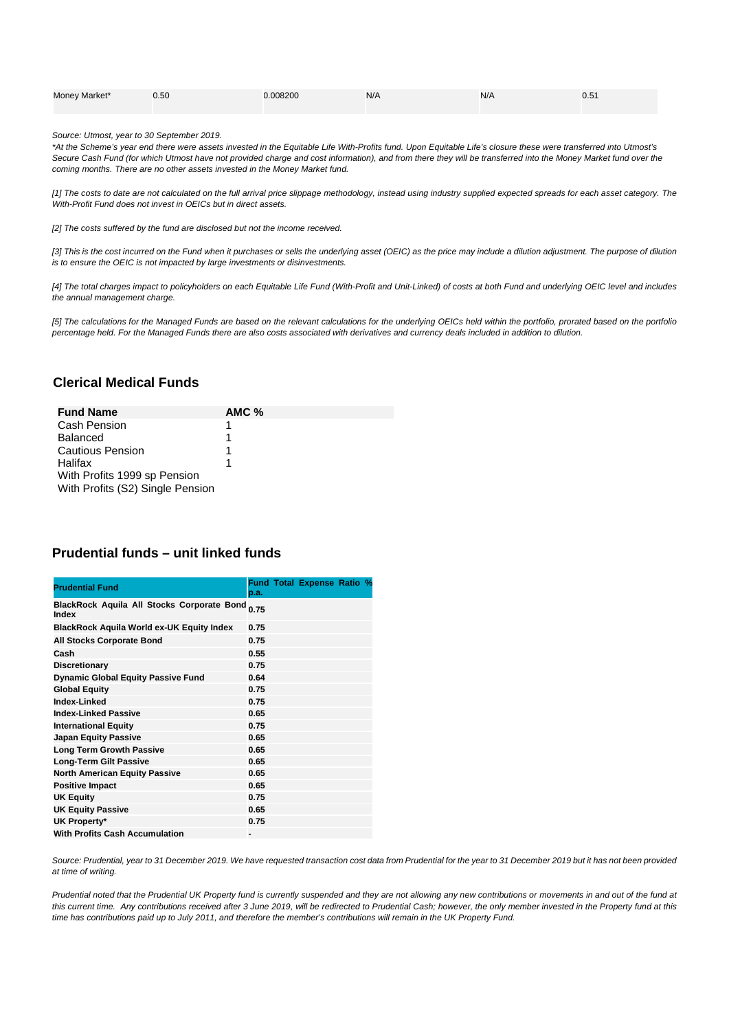| Money Market* | 0.50 | 0.008200 | N/A | N/A | 0.51 |
|---------------|------|----------|-----|-----|------|
|               |      |          |     |     |      |

*Source: Utmost, year to 30 September 2019.*

*\*At the Scheme's year end there were assets invested in the Equitable Life With-Profits fund. Upon Equitable Life's closure these were transferred into Utmost's Secure Cash Fund (for which Utmost have not provided charge and cost information), and from there they will be transferred into the Money Market fund over the coming months. There are no other assets invested in the Money Market fund.*

*[1] The costs to date are not calculated on the full arrival price slippage methodology, instead using industry supplied expected spreads for each asset category. The With-Profit Fund does not invest in OEICs but in direct assets.*

*[2] The costs suffered by the fund are disclosed but not the income received.*

*[3] This is the cost incurred on the Fund when it purchases or sells the underlying asset (OEIC) as the price may include a dilution adjustment. The purpose of dilution is to ensure the OEIC is not impacted by large investments or disinvestments.*

*[4] The total charges impact to policyholders on each Equitable Life Fund (With-Profit and Unit-Linked) of costs at both Fund and underlying OEIC level and includes the annual management charge.*

*[5] The calculations for the Managed Funds are based on the relevant calculations for the underlying OEICs held within the portfolio, prorated based on the portfolio percentage held. For the Managed Funds there are also costs associated with derivatives and currency deals included in addition to dilution.*

### **Clerical Medical Funds**

| <b>Fund Name</b>                 | $AMC$ % |
|----------------------------------|---------|
| Cash Pension                     |         |
| <b>Balanced</b>                  |         |
| <b>Cautious Pension</b>          |         |
| Halifax                          |         |
| With Profits 1999 sp Pension     |         |
| With Profits (S2) Single Pension |         |

#### **Prudential funds – unit linked funds**

| <b>Prudential Fund</b>                                     | p.a. | <b>Fund Total Expense Ratio %</b> |  |
|------------------------------------------------------------|------|-----------------------------------|--|
| <b>BlackRock Aquila All Stocks Corporate Bond</b><br>Index | 0.75 |                                   |  |
| <b>BlackRock Aquila World ex-UK Equity Index</b>           | 0.75 |                                   |  |
| <b>All Stocks Corporate Bond</b>                           | 0.75 |                                   |  |
| Cash                                                       | 0.55 |                                   |  |
| Discretionary                                              | 0.75 |                                   |  |
| <b>Dynamic Global Equity Passive Fund</b>                  | 0.64 |                                   |  |
| <b>Global Equity</b>                                       | 0.75 |                                   |  |
| Index-Linked                                               | 0.75 |                                   |  |
| <b>Index-Linked Passive</b>                                | 0.65 |                                   |  |
| <b>International Equity</b>                                | 0.75 |                                   |  |
| <b>Japan Equity Passive</b>                                | 0.65 |                                   |  |
| <b>Long Term Growth Passive</b>                            | 0.65 |                                   |  |
| Long-Term Gilt Passive                                     | 0.65 |                                   |  |
| <b>North American Equity Passive</b>                       | 0.65 |                                   |  |
| <b>Positive Impact</b>                                     | 0.65 |                                   |  |
| <b>UK Equity</b>                                           | 0.75 |                                   |  |
| <b>UK Equity Passive</b>                                   | 0.65 |                                   |  |
| UK Property*                                               | 0.75 |                                   |  |
| <b>With Profits Cash Accumulation</b>                      | -    |                                   |  |

*Source: Prudential, year to 31 December 2019. We have requested transaction cost data from Prudential for the year to 31 December 2019 but it has not been provided at time of writing.*

*Prudential noted that the Prudential UK Property fund is currently suspended and they are not allowing any new contributions or movements in and out of the fund at this current time. Any contributions received after 3 June 2019, will be redirected to Prudential Cash; however, the only member invested in the Property fund at this time has contributions paid up to July 2011, and therefore the member's contributions will remain in the UK Property Fund.*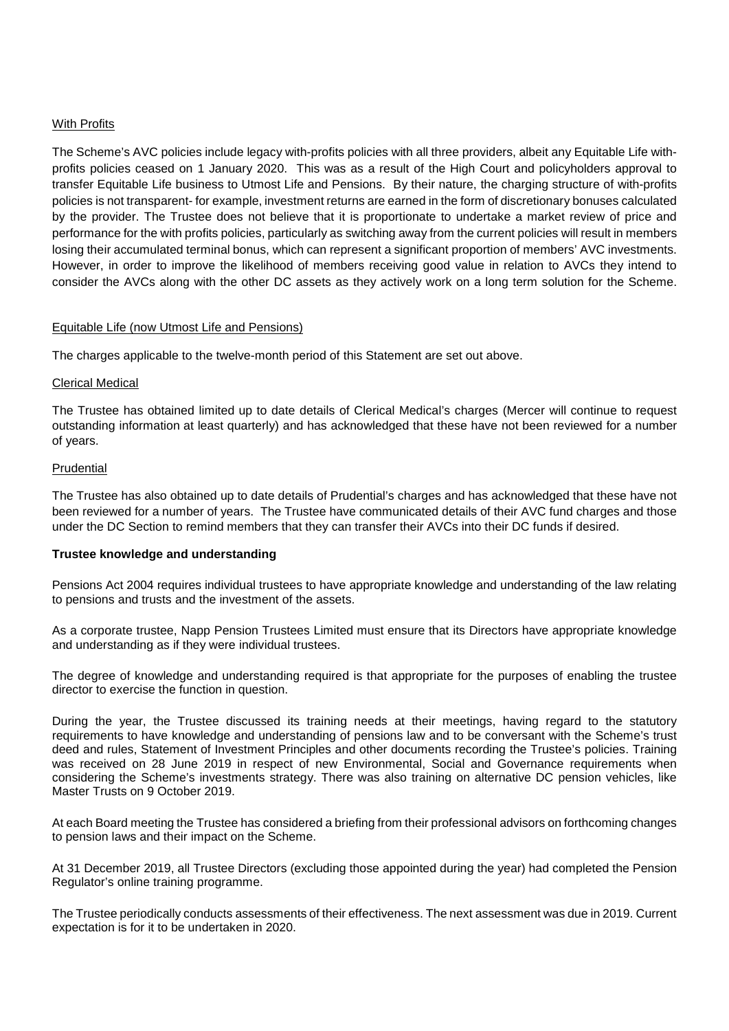#### With Profits

The Scheme's AVC policies include legacy with-profits policies with all three providers, albeit any Equitable Life withprofits policies ceased on 1 January 2020. This was as a result of the High Court and policyholders approval to transfer Equitable Life business to Utmost Life and Pensions. By their nature, the charging structure of with-profits policies is not transparent- for example, investment returns are earned in the form of discretionary bonuses calculated by the provider. The Trustee does not believe that it is proportionate to undertake a market review of price and performance for the with profits policies, particularly as switching away from the current policies will result in members losing their accumulated terminal bonus, which can represent a significant proportion of members' AVC investments. However, in order to improve the likelihood of members receiving good value in relation to AVCs they intend to consider the AVCs along with the other DC assets as they actively work on a long term solution for the Scheme.

#### Equitable Life (now Utmost Life and Pensions)

The charges applicable to the twelve-month period of this Statement are set out above.

#### Clerical Medical

The Trustee has obtained limited up to date details of Clerical Medical's charges (Mercer will continue to request outstanding information at least quarterly) and has acknowledged that these have not been reviewed for a number of years.

#### **Prudential**

The Trustee has also obtained up to date details of Prudential's charges and has acknowledged that these have not been reviewed for a number of years. The Trustee have communicated details of their AVC fund charges and those under the DC Section to remind members that they can transfer their AVCs into their DC funds if desired.

#### **Trustee knowledge and understanding**

Pensions Act 2004 requires individual trustees to have appropriate knowledge and understanding of the law relating to pensions and trusts and the investment of the assets.

As a corporate trustee, Napp Pension Trustees Limited must ensure that its Directors have appropriate knowledge and understanding as if they were individual trustees.

The degree of knowledge and understanding required is that appropriate for the purposes of enabling the trustee director to exercise the function in question.

During the year, the Trustee discussed its training needs at their meetings, having regard to the statutory requirements to have knowledge and understanding of pensions law and to be conversant with the Scheme's trust deed and rules, Statement of Investment Principles and other documents recording the Trustee's policies. Training was received on 28 June 2019 in respect of new Environmental, Social and Governance requirements when considering the Scheme's investments strategy. There was also training on alternative DC pension vehicles, like Master Trusts on 9 October 2019.

At each Board meeting the Trustee has considered a briefing from their professional advisors on forthcoming changes to pension laws and their impact on the Scheme.

At 31 December 2019, all Trustee Directors (excluding those appointed during the year) had completed the Pension Regulator's online training programme.

The Trustee periodically conducts assessments of their effectiveness. The next assessment was due in 2019. Current expectation is for it to be undertaken in 2020.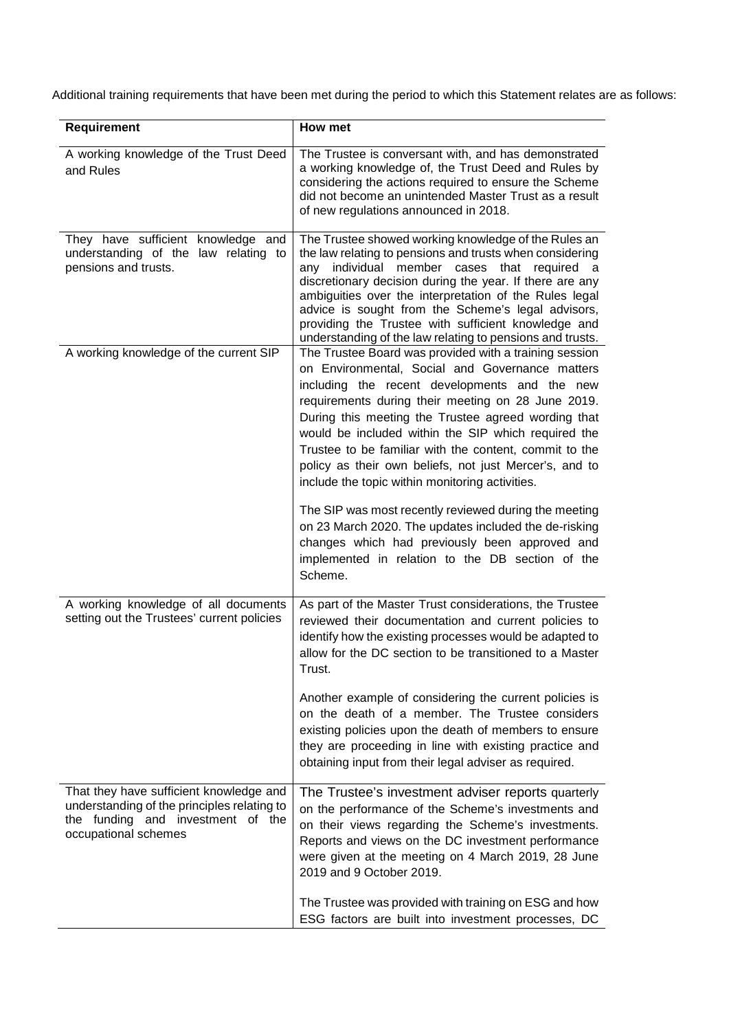Additional training requirements that have been met during the period to which this Statement relates are as follows:

| Requirement                                                                                                                                         | How met                                                                                                                                                                                                                                                                                                                                                                                                                                                                                               |
|-----------------------------------------------------------------------------------------------------------------------------------------------------|-------------------------------------------------------------------------------------------------------------------------------------------------------------------------------------------------------------------------------------------------------------------------------------------------------------------------------------------------------------------------------------------------------------------------------------------------------------------------------------------------------|
| A working knowledge of the Trust Deed<br>and Rules                                                                                                  | The Trustee is conversant with, and has demonstrated<br>a working knowledge of, the Trust Deed and Rules by<br>considering the actions required to ensure the Scheme<br>did not become an unintended Master Trust as a result<br>of new regulations announced in 2018.                                                                                                                                                                                                                                |
| They have sufficient knowledge and<br>understanding of the law relating to<br>pensions and trusts.                                                  | The Trustee showed working knowledge of the Rules an<br>the law relating to pensions and trusts when considering<br>member<br>individual<br>cases<br>that<br>required a<br>any<br>discretionary decision during the year. If there are any<br>ambiguities over the interpretation of the Rules legal<br>advice is sought from the Scheme's legal advisors,<br>providing the Trustee with sufficient knowledge and<br>understanding of the law relating to pensions and trusts.                        |
| A working knowledge of the current SIP                                                                                                              | The Trustee Board was provided with a training session<br>on Environmental, Social and Governance matters<br>including the recent developments and the new<br>requirements during their meeting on 28 June 2019.<br>During this meeting the Trustee agreed wording that<br>would be included within the SIP which required the<br>Trustee to be familiar with the content, commit to the<br>policy as their own beliefs, not just Mercer's, and to<br>include the topic within monitoring activities. |
|                                                                                                                                                     | The SIP was most recently reviewed during the meeting<br>on 23 March 2020. The updates included the de-risking<br>changes which had previously been approved and<br>implemented in relation to the DB section of the<br>Scheme.                                                                                                                                                                                                                                                                       |
| A working knowledge of all documents<br>setting out the Trustees' current policies                                                                  | As part of the Master Trust considerations, the Trustee<br>reviewed their documentation and current policies to<br>identify how the existing processes would be adapted to<br>allow for the DC section to be transitioned to a Master<br>Trust.                                                                                                                                                                                                                                                       |
|                                                                                                                                                     | Another example of considering the current policies is<br>on the death of a member. The Trustee considers<br>existing policies upon the death of members to ensure<br>they are proceeding in line with existing practice and<br>obtaining input from their legal adviser as required.                                                                                                                                                                                                                 |
| That they have sufficient knowledge and<br>understanding of the principles relating to<br>the funding and investment of the<br>occupational schemes | The Trustee's investment adviser reports quarterly<br>on the performance of the Scheme's investments and<br>on their views regarding the Scheme's investments.<br>Reports and views on the DC investment performance<br>were given at the meeting on 4 March 2019, 28 June<br>2019 and 9 October 2019.                                                                                                                                                                                                |
|                                                                                                                                                     | The Trustee was provided with training on ESG and how<br>ESG factors are built into investment processes, DC                                                                                                                                                                                                                                                                                                                                                                                          |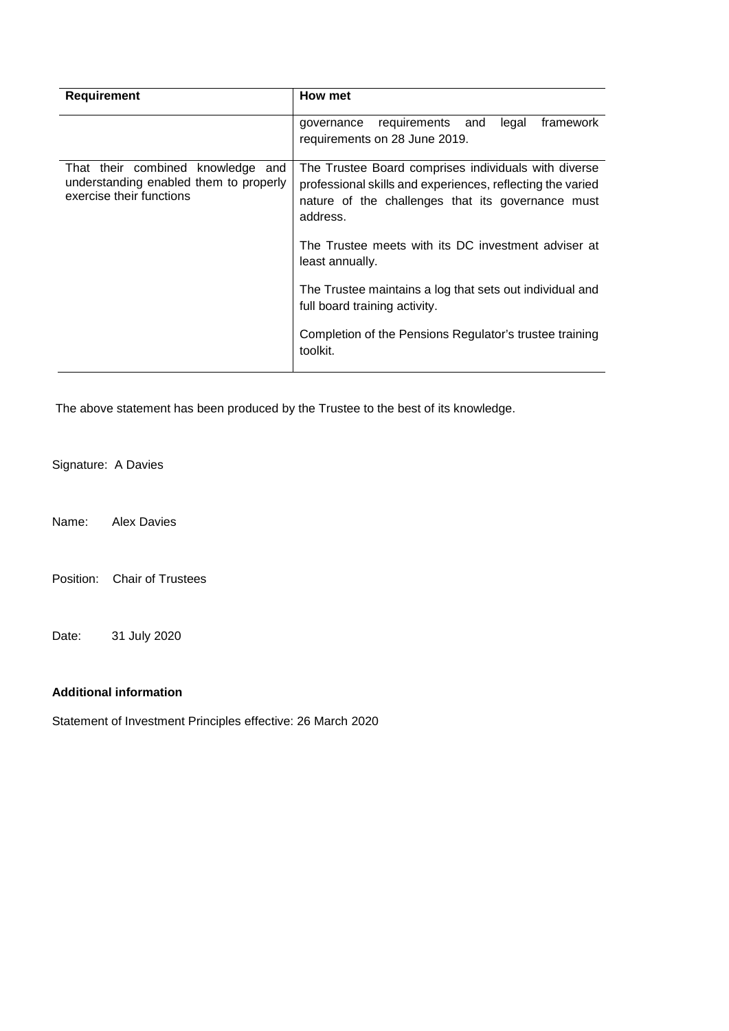| <b>Requirement</b>                                                                                      | How met                                                                                                                                                                             |
|---------------------------------------------------------------------------------------------------------|-------------------------------------------------------------------------------------------------------------------------------------------------------------------------------------|
|                                                                                                         | legal<br>framework<br>requirements and<br>governance<br>requirements on 28 June 2019.                                                                                               |
| That their combined knowledge and<br>understanding enabled them to properly<br>exercise their functions | The Trustee Board comprises individuals with diverse<br>professional skills and experiences, reflecting the varied<br>nature of the challenges that its governance must<br>address. |
|                                                                                                         | The Trustee meets with its DC investment adviser at<br>least annually.                                                                                                              |
|                                                                                                         | The Trustee maintains a log that sets out individual and<br>full board training activity.                                                                                           |
|                                                                                                         | Completion of the Pensions Regulator's trustee training<br>toolkit.                                                                                                                 |

The above statement has been produced by the Trustee to the best of its knowledge.

Signature: A Davies

Name: Alex Davies

Position: Chair of Trustees

Date: 31 July 2020

## **Additional information**

Statement of Investment Principles effective: 26 March 2020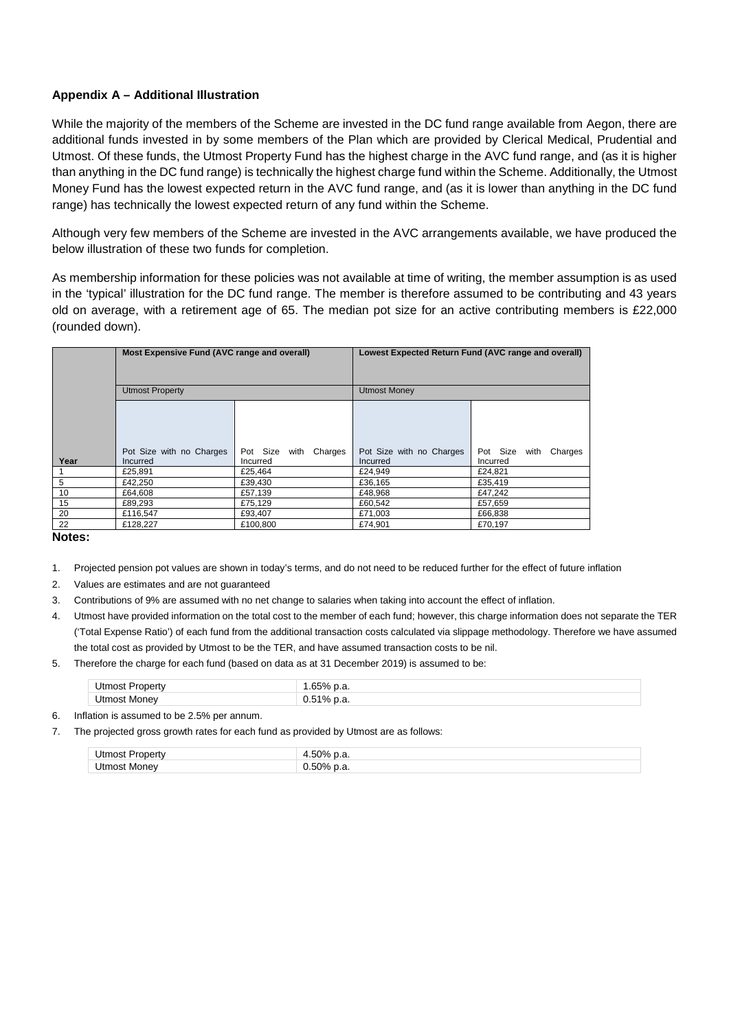#### **Appendix A – Additional Illustration**

While the majority of the members of the Scheme are invested in the DC fund range available from Aegon, there are additional funds invested in by some members of the Plan which are provided by Clerical Medical, Prudential and Utmost. Of these funds, the Utmost Property Fund has the highest charge in the AVC fund range, and (as it is higher than anything in the DC fund range) is technically the highest charge fund within the Scheme. Additionally, the Utmost Money Fund has the lowest expected return in the AVC fund range, and (as it is lower than anything in the DC fund range) has technically the lowest expected return of any fund within the Scheme.

Although very few members of the Scheme are invested in the AVC arrangements available, we have produced the below illustration of these two funds for completion.

As membership information for these policies was not available at time of writing, the member assumption is as used in the 'typical' illustration for the DC fund range. The member is therefore assumed to be contributing and 43 years old on average, with a retirement age of 65. The median pot size for an active contributing members is £22,000 (rounded down).

|      | Most Expensive Fund (AVC range and overall) |                             | Lowest Expected Return Fund (AVC range and overall) |                       |
|------|---------------------------------------------|-----------------------------|-----------------------------------------------------|-----------------------|
|      |                                             |                             |                                                     |                       |
|      | <b>Utmost Property</b>                      |                             | <b>Utmost Money</b>                                 |                       |
|      |                                             |                             |                                                     |                       |
|      |                                             |                             |                                                     |                       |
|      | Pot Size with no Charges                    | Charges<br>Pot Size<br>with | Pot Size with no Charges                            | Pot Size with Charges |
| Year | Incurred                                    | Incurred                    | Incurred                                            | Incurred              |
|      | £25,891                                     | £25.464                     | £24.949                                             | £24,821               |
| 5    | £42.250                                     | £39,430                     | £36,165                                             | £35,419               |
| 10   | £64.608                                     | £57,139                     | £48.968                                             | £47,242               |
| 15   | £89,293                                     | £75,129                     | £60,542                                             | £57,659               |
| 20   | £116,547                                    | £93,407                     | £71,003                                             | £66,838               |
| 22   | £128.227                                    | £100.800                    | £74.901                                             | £70.197               |

**Notes:**

- 1. Projected pension pot values are shown in today's terms, and do not need to be reduced further for the effect of future inflation
- 2. Values are estimates and are not guaranteed
- 3. Contributions of 9% are assumed with no net change to salaries when taking into account the effect of inflation.
- 4. Utmost have provided information on the total cost to the member of each fund; however, this charge information does not separate the TER ('Total Expense Ratio') of each fund from the additional transaction costs calculated via slippage methodology. Therefore we have assumed the total cost as provided by Utmost to be the TER, and have assumed transaction costs to be nil.
- 5. Therefore the charge for each fund (based on data as at 31 December 2019) is assumed to be:

| <b>Itmos</b><br>mer | . с. |
|---------------------|------|
| $H$ moct<br>Monev   | ่ม   |

6. Inflation is assumed to be 2.5% per annum.

7. The projected gross growth rates for each fund as provided by Utmost are as follows:

| -ltr<br>$\cdots$<br>ገበያ<br>ne | 50%<br>. с.<br>____<br>__ |
|-------------------------------|---------------------------|
| <b>Itmos</b><br>Money         | 50%<br>. .                |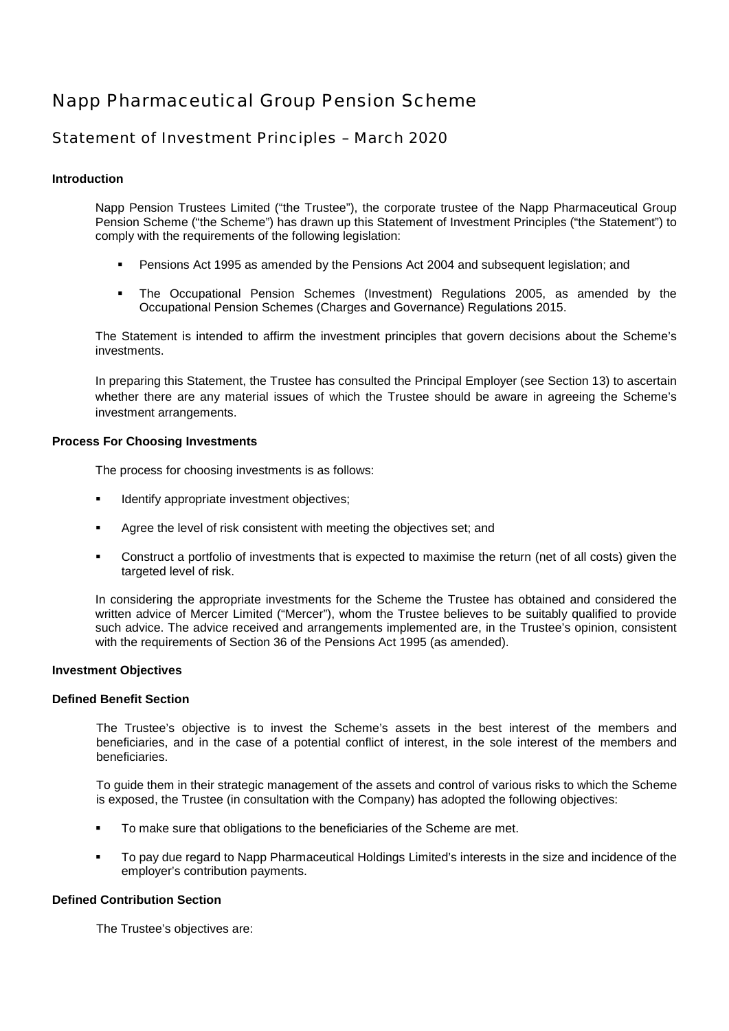# Napp Pharmaceutical Group Pension Scheme

# Statement of Investment Principles – March 2020

#### **Introduction**

Napp Pension Trustees Limited ("the Trustee"), the corporate trustee of the Napp Pharmaceutical Group Pension Scheme ("the Scheme") has drawn up this Statement of Investment Principles ("the Statement") to comply with the requirements of the following legislation:

- Pensions Act 1995 as amended by the Pensions Act 2004 and subsequent legislation; and
- The Occupational Pension Schemes (Investment) Regulations 2005, as amended by the Occupational Pension Schemes (Charges and Governance) Regulations 2015.

The Statement is intended to affirm the investment principles that govern decisions about the Scheme's investments.

In preparing this Statement, the Trustee has consulted the Principal Employer (see Section 13) to ascertain whether there are any material issues of which the Trustee should be aware in agreeing the Scheme's investment arrangements.

#### **Process For Choosing Investments**

The process for choosing investments is as follows:

- Identify appropriate investment objectives;
- Agree the level of risk consistent with meeting the objectives set; and
- Construct a portfolio of investments that is expected to maximise the return (net of all costs) given the targeted level of risk.

In considering the appropriate investments for the Scheme the Trustee has obtained and considered the written advice of Mercer Limited ("Mercer"), whom the Trustee believes to be suitably qualified to provide such advice. The advice received and arrangements implemented are, in the Trustee's opinion, consistent with the requirements of Section 36 of the Pensions Act 1995 (as amended).

#### **Investment Objectives**

#### **Defined Benefit Section**

The Trustee's objective is to invest the Scheme's assets in the best interest of the members and beneficiaries, and in the case of a potential conflict of interest, in the sole interest of the members and beneficiaries.

To guide them in their strategic management of the assets and control of various risks to which the Scheme is exposed, the Trustee (in consultation with the Company) has adopted the following objectives:

- To make sure that obligations to the beneficiaries of the Scheme are met.
- To pay due regard to Napp Pharmaceutical Holdings Limited's interests in the size and incidence of the employer's contribution payments.

#### **Defined Contribution Section**

The Trustee's objectives are: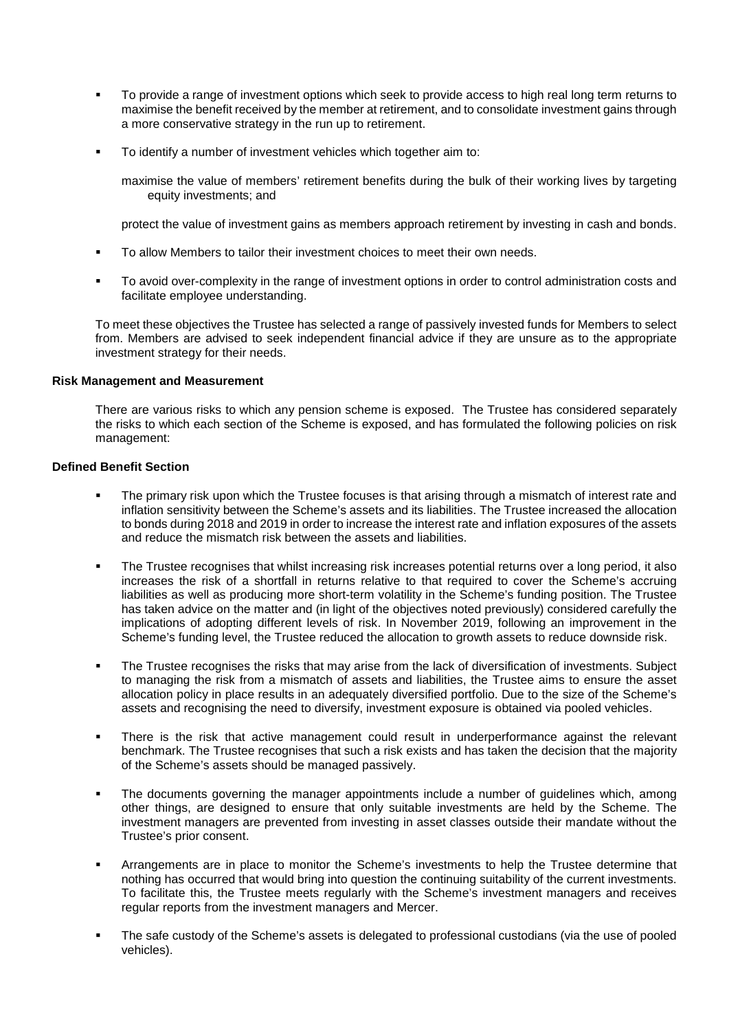- To provide a range of investment options which seek to provide access to high real long term returns to maximise the benefit received by the member at retirement, and to consolidate investment gains through a more conservative strategy in the run up to retirement.
- To identify a number of investment vehicles which together aim to:

maximise the value of members' retirement benefits during the bulk of their working lives by targeting equity investments; and

protect the value of investment gains as members approach retirement by investing in cash and bonds.

- To allow Members to tailor their investment choices to meet their own needs.
- To avoid over-complexity in the range of investment options in order to control administration costs and facilitate employee understanding.

To meet these objectives the Trustee has selected a range of passively invested funds for Members to select from. Members are advised to seek independent financial advice if they are unsure as to the appropriate investment strategy for their needs.

#### **Risk Management and Measurement**

There are various risks to which any pension scheme is exposed. The Trustee has considered separately the risks to which each section of the Scheme is exposed, and has formulated the following policies on risk management:

#### **Defined Benefit Section**

- The primary risk upon which the Trustee focuses is that arising through a mismatch of interest rate and inflation sensitivity between the Scheme's assets and its liabilities. The Trustee increased the allocation to bonds during 2018 and 2019 in order to increase the interest rate and inflation exposures of the assets and reduce the mismatch risk between the assets and liabilities.
- The Trustee recognises that whilst increasing risk increases potential returns over a long period, it also increases the risk of a shortfall in returns relative to that required to cover the Scheme's accruing liabilities as well as producing more short-term volatility in the Scheme's funding position. The Trustee has taken advice on the matter and (in light of the objectives noted previously) considered carefully the implications of adopting different levels of risk. In November 2019, following an improvement in the Scheme's funding level, the Trustee reduced the allocation to growth assets to reduce downside risk.
- The Trustee recognises the risks that may arise from the lack of diversification of investments. Subject to managing the risk from a mismatch of assets and liabilities, the Trustee aims to ensure the asset allocation policy in place results in an adequately diversified portfolio. Due to the size of the Scheme's assets and recognising the need to diversify, investment exposure is obtained via pooled vehicles.
- There is the risk that active management could result in underperformance against the relevant benchmark. The Trustee recognises that such a risk exists and has taken the decision that the majority of the Scheme's assets should be managed passively.
- The documents governing the manager appointments include a number of guidelines which, among other things, are designed to ensure that only suitable investments are held by the Scheme. The investment managers are prevented from investing in asset classes outside their mandate without the Trustee's prior consent.
- Arrangements are in place to monitor the Scheme's investments to help the Trustee determine that nothing has occurred that would bring into question the continuing suitability of the current investments. To facilitate this, the Trustee meets regularly with the Scheme's investment managers and receives regular reports from the investment managers and Mercer.
- The safe custody of the Scheme's assets is delegated to professional custodians (via the use of pooled vehicles).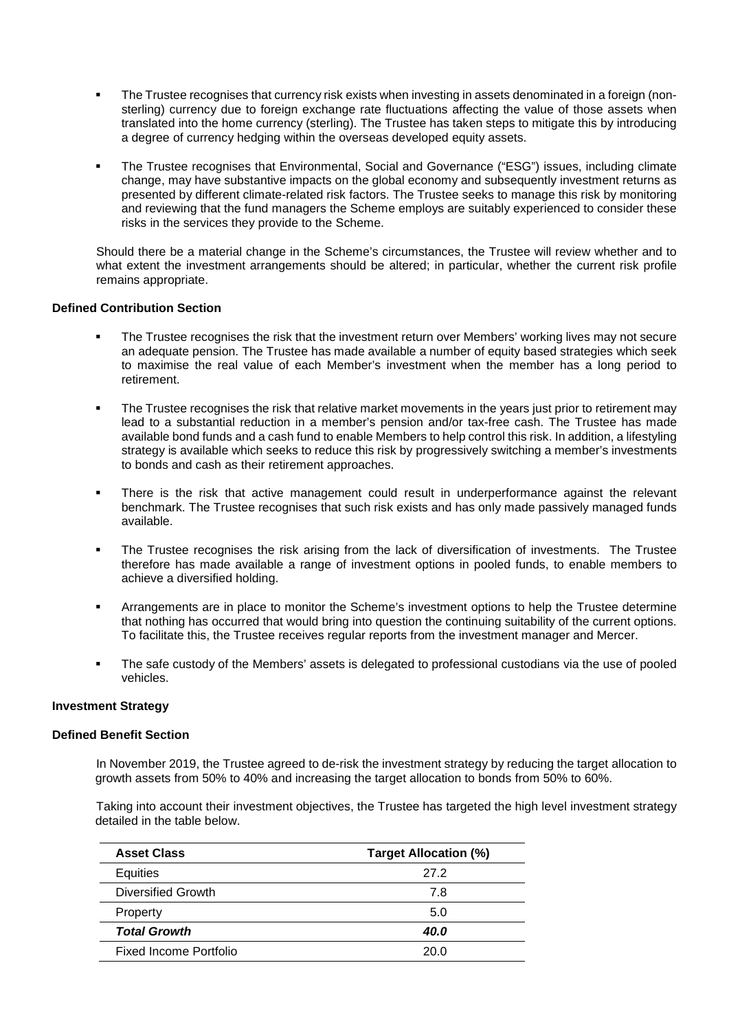- The Trustee recognises that currency risk exists when investing in assets denominated in a foreign (nonsterling) currency due to foreign exchange rate fluctuations affecting the value of those assets when translated into the home currency (sterling). The Trustee has taken steps to mitigate this by introducing a degree of currency hedging within the overseas developed equity assets.
- The Trustee recognises that Environmental, Social and Governance ("ESG") issues, including climate change, may have substantive impacts on the global economy and subsequently investment returns as presented by different climate-related risk factors. The Trustee seeks to manage this risk by monitoring and reviewing that the fund managers the Scheme employs are suitably experienced to consider these risks in the services they provide to the Scheme.

Should there be a material change in the Scheme's circumstances, the Trustee will review whether and to what extent the investment arrangements should be altered; in particular, whether the current risk profile remains appropriate.

#### **Defined Contribution Section**

- The Trustee recognises the risk that the investment return over Members' working lives may not secure an adequate pension. The Trustee has made available a number of equity based strategies which seek to maximise the real value of each Member's investment when the member has a long period to retirement.
- The Trustee recognises the risk that relative market movements in the years just prior to retirement may lead to a substantial reduction in a member's pension and/or tax-free cash. The Trustee has made available bond funds and a cash fund to enable Members to help control this risk. In addition, a lifestyling strategy is available which seeks to reduce this risk by progressively switching a member's investments to bonds and cash as their retirement approaches.
- There is the risk that active management could result in underperformance against the relevant benchmark. The Trustee recognises that such risk exists and has only made passively managed funds available.
- The Trustee recognises the risk arising from the lack of diversification of investments. The Trustee therefore has made available a range of investment options in pooled funds, to enable members to achieve a diversified holding.
- Arrangements are in place to monitor the Scheme's investment options to help the Trustee determine that nothing has occurred that would bring into question the continuing suitability of the current options. To facilitate this, the Trustee receives regular reports from the investment manager and Mercer.
- The safe custody of the Members' assets is delegated to professional custodians via the use of pooled vehicles.

#### **Investment Strategy**

## **Defined Benefit Section**

In November 2019, the Trustee agreed to de-risk the investment strategy by reducing the target allocation to growth assets from 50% to 40% and increasing the target allocation to bonds from 50% to 60%.

Taking into account their investment objectives, the Trustee has targeted the high level investment strategy detailed in the table below.

| <b>Asset Class</b>     | <b>Target Allocation (%)</b> |  |
|------------------------|------------------------------|--|
| Equities               | 27.2                         |  |
| Diversified Growth     | 7.8                          |  |
| Property               | 5.0                          |  |
| <b>Total Growth</b>    | <b>40.0</b>                  |  |
| Fixed Income Portfolio | 20.0                         |  |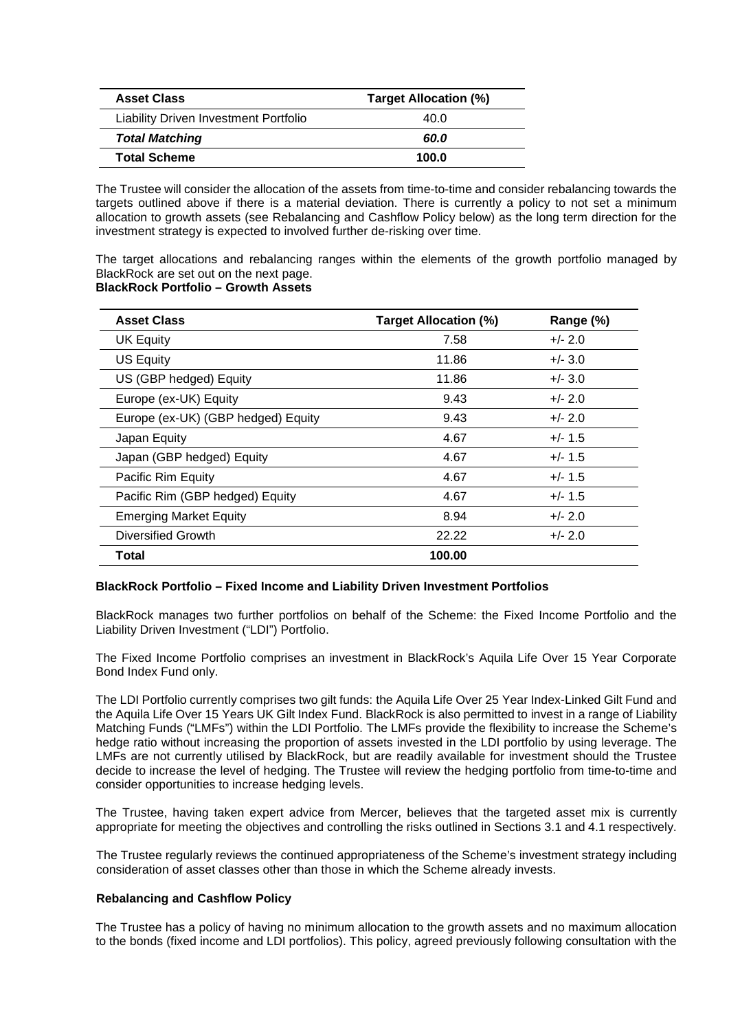| <b>Asset Class</b>                    | <b>Target Allocation (%)</b> |  |
|---------------------------------------|------------------------------|--|
| Liability Driven Investment Portfolio | 40.0                         |  |
| <b>Total Matching</b>                 | 60.0                         |  |
| <b>Total Scheme</b>                   | 100.0                        |  |

The Trustee will consider the allocation of the assets from time-to-time and consider rebalancing towards the targets outlined above if there is a material deviation. There is currently a policy to not set a minimum allocation to growth assets (see Rebalancing and Cashflow Policy below) as the long term direction for the investment strategy is expected to involved further de-risking over time.

The target allocations and rebalancing ranges within the elements of the growth portfolio managed by BlackRock are set out on the next page. **BlackRock Portfolio – Growth Assets**

| <b>Asset Class</b>                 | <b>Target Allocation (%)</b> | Range (%) |
|------------------------------------|------------------------------|-----------|
| <b>UK Equity</b>                   | 7.58                         | $+/- 2.0$ |
| <b>US Equity</b>                   | 11.86                        | $+/- 3.0$ |
| US (GBP hedged) Equity             | 11.86                        | $+/- 3.0$ |
| Europe (ex-UK) Equity              | 9.43                         | $+/- 2.0$ |
| Europe (ex-UK) (GBP hedged) Equity | 9.43                         | $+/- 2.0$ |
| Japan Equity                       | 4.67                         | $+/- 1.5$ |
| Japan (GBP hedged) Equity          | 4.67                         | $+/- 1.5$ |
| Pacific Rim Equity                 | 4.67                         | $+/- 1.5$ |
| Pacific Rim (GBP hedged) Equity    | 4.67                         | $+/- 1.5$ |
| <b>Emerging Market Equity</b>      | 8.94                         | $+/- 2.0$ |
| <b>Diversified Growth</b>          | 22.22                        | $+/- 2.0$ |
| Total                              | 100.00                       |           |

#### **BlackRock Portfolio – Fixed Income and Liability Driven Investment Portfolios**

BlackRock manages two further portfolios on behalf of the Scheme: the Fixed Income Portfolio and the Liability Driven Investment ("LDI") Portfolio.

The Fixed Income Portfolio comprises an investment in BlackRock's Aquila Life Over 15 Year Corporate Bond Index Fund only.

The LDI Portfolio currently comprises two gilt funds: the Aquila Life Over 25 Year Index-Linked Gilt Fund and the Aquila Life Over 15 Years UK Gilt Index Fund. BlackRock is also permitted to invest in a range of Liability Matching Funds ("LMFs") within the LDI Portfolio. The LMFs provide the flexibility to increase the Scheme's hedge ratio without increasing the proportion of assets invested in the LDI portfolio by using leverage. The LMFs are not currently utilised by BlackRock, but are readily available for investment should the Trustee decide to increase the level of hedging. The Trustee will review the hedging portfolio from time-to-time and consider opportunities to increase hedging levels.

The Trustee, having taken expert advice from Mercer, believes that the targeted asset mix is currently appropriate for meeting the objectives and controlling the risks outlined in Sections 3.1 and 4.1 respectively.

The Trustee regularly reviews the continued appropriateness of the Scheme's investment strategy including consideration of asset classes other than those in which the Scheme already invests.

#### **Rebalancing and Cashflow Policy**

The Trustee has a policy of having no minimum allocation to the growth assets and no maximum allocation to the bonds (fixed income and LDI portfolios). This policy, agreed previously following consultation with the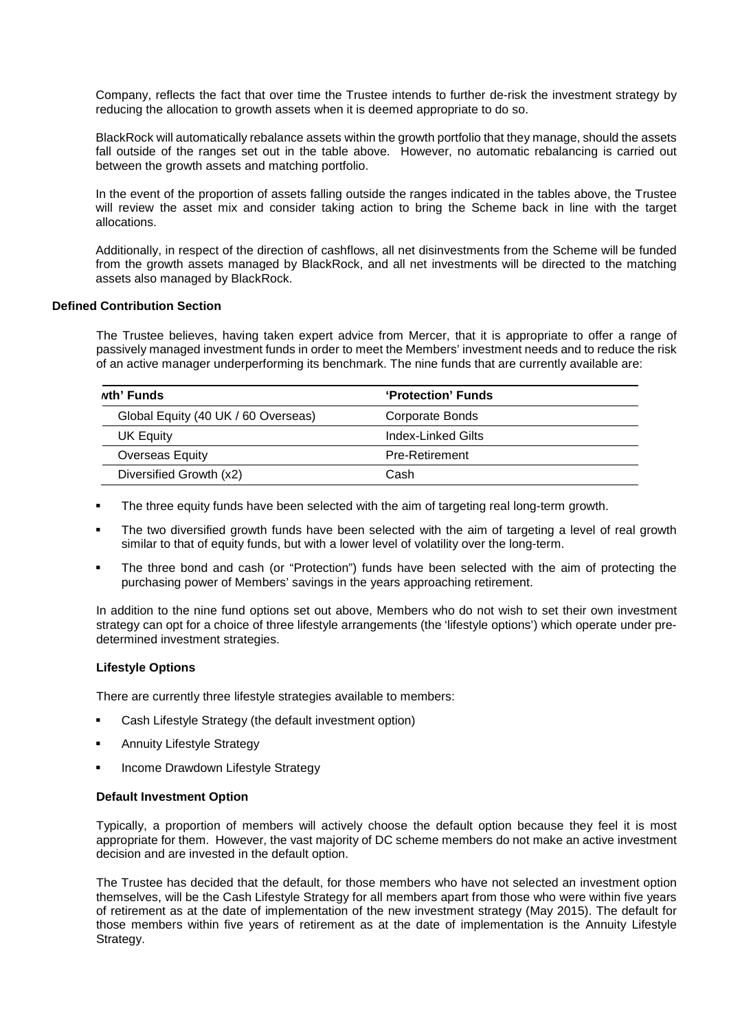Company, reflects the fact that over time the Trustee intends to further de-risk the investment strategy by reducing the allocation to growth assets when it is deemed appropriate to do so.

BlackRock will automatically rebalance assets within the growth portfolio that they manage, should the assets fall outside of the ranges set out in the table above. However, no automatic rebalancing is carried out between the growth assets and matching portfolio.

In the event of the proportion of assets falling outside the ranges indicated in the tables above, the Trustee will review the asset mix and consider taking action to bring the Scheme back in line with the target allocations.

Additionally, in respect of the direction of cashflows, all net disinvestments from the Scheme will be funded from the growth assets managed by BlackRock, and all net investments will be directed to the matching assets also managed by BlackRock.

#### **Defined Contribution Section**

The Trustee believes, having taken expert advice from Mercer, that it is appropriate to offer a range of passively managed investment funds in order to meet the Members' investment needs and to reduce the risk of an active manager underperforming its benchmark. The nine funds that are currently available are:

| wth' Funds                          | 'Protection' Funds |
|-------------------------------------|--------------------|
| Global Equity (40 UK / 60 Overseas) | Corporate Bonds    |
| UK Equity                           | Index-Linked Gilts |
| Overseas Equity                     | Pre-Retirement     |
| Diversified Growth (x2)             | Cash               |

- The three equity funds have been selected with the aim of targeting real long-term growth.
- The two diversified growth funds have been selected with the aim of targeting a level of real growth similar to that of equity funds, but with a lower level of volatility over the long-term.
- The three bond and cash (or "Protection") funds have been selected with the aim of protecting the purchasing power of Members' savings in the years approaching retirement.

In addition to the nine fund options set out above, Members who do not wish to set their own investment strategy can opt for a choice of three lifestyle arrangements (the 'lifestyle options') which operate under predetermined investment strategies.

#### **Lifestyle Options**

There are currently three lifestyle strategies available to members:

- Cash Lifestyle Strategy (the default investment option)
- Annuity Lifestyle Strategy
- Income Drawdown Lifestyle Strategy

#### **Default Investment Option**

Typically, a proportion of members will actively choose the default option because they feel it is most appropriate for them. However, the vast majority of DC scheme members do not make an active investment decision and are invested in the default option.

The Trustee has decided that the default, for those members who have not selected an investment option themselves, will be the Cash Lifestyle Strategy for all members apart from those who were within five years of retirement as at the date of implementation of the new investment strategy (May 2015). The default for those members within five years of retirement as at the date of implementation is the Annuity Lifestyle Strategy.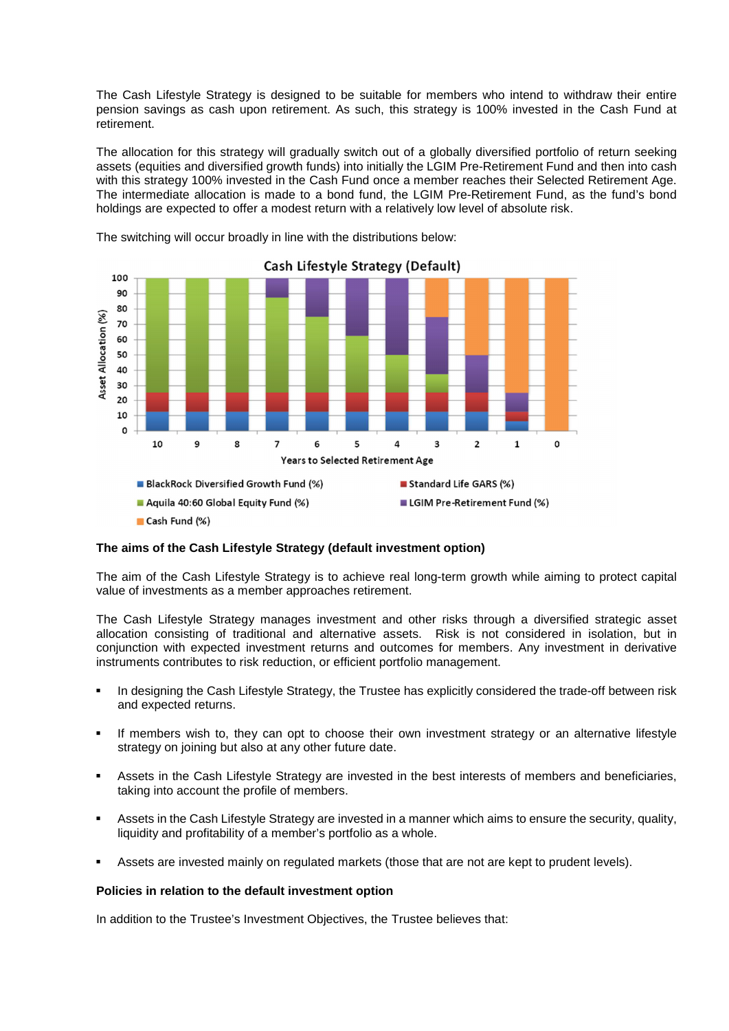The Cash Lifestyle Strategy is designed to be suitable for members who intend to withdraw their entire pension savings as cash upon retirement. As such, this strategy is 100% invested in the Cash Fund at retirement.

The allocation for this strategy will gradually switch out of a globally diversified portfolio of return seeking assets (equities and diversified growth funds) into initially the LGIM Pre-Retirement Fund and then into cash with this strategy 100% invested in the Cash Fund once a member reaches their Selected Retirement Age. The intermediate allocation is made to a bond fund, the LGIM Pre-Retirement Fund, as the fund's bond holdings are expected to offer a modest return with a relatively low level of absolute risk.



The switching will occur broadly in line with the distributions below:

#### **The aims of the Cash Lifestyle Strategy (default investment option)**

The aim of the Cash Lifestyle Strategy is to achieve real long-term growth while aiming to protect capital value of investments as a member approaches retirement.

The Cash Lifestyle Strategy manages investment and other risks through a diversified strategic asset allocation consisting of traditional and alternative assets. Risk is not considered in isolation, but in conjunction with expected investment returns and outcomes for members. Any investment in derivative instruments contributes to risk reduction, or efficient portfolio management.

- In designing the Cash Lifestyle Strategy, the Trustee has explicitly considered the trade-off between risk and expected returns.
- If members wish to, they can opt to choose their own investment strategy or an alternative lifestyle strategy on joining but also at any other future date.
- Assets in the Cash Lifestyle Strategy are invested in the best interests of members and beneficiaries, taking into account the profile of members.
- Assets in the Cash Lifestyle Strategy are invested in a manner which aims to ensure the security, quality, liquidity and profitability of a member's portfolio as a whole.
- Assets are invested mainly on regulated markets (those that are not are kept to prudent levels).

#### **Policies in relation to the default investment option**

In addition to the Trustee's Investment Objectives, the Trustee believes that: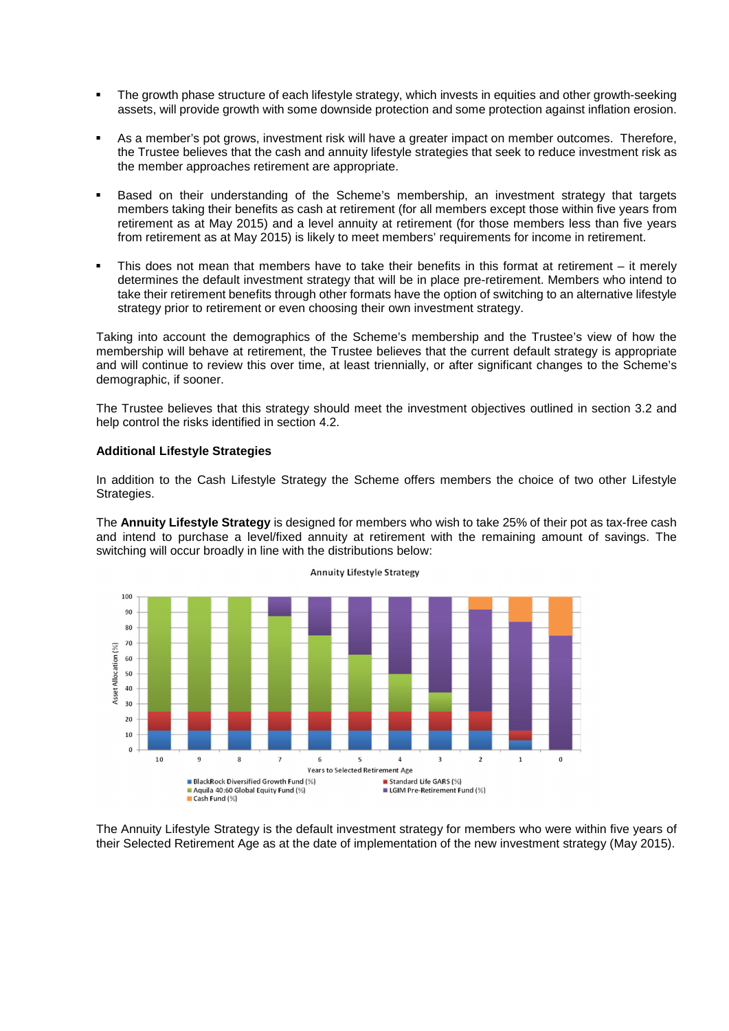- The growth phase structure of each lifestyle strategy, which invests in equities and other growth-seeking assets, will provide growth with some downside protection and some protection against inflation erosion.
- As a member's pot grows, investment risk will have a greater impact on member outcomes. Therefore, the Trustee believes that the cash and annuity lifestyle strategies that seek to reduce investment risk as the member approaches retirement are appropriate.
- Based on their understanding of the Scheme's membership, an investment strategy that targets members taking their benefits as cash at retirement (for all members except those within five years from retirement as at May 2015) and a level annuity at retirement (for those members less than five years from retirement as at May 2015) is likely to meet members' requirements for income in retirement.
- This does not mean that members have to take their benefits in this format at retirement  $-$  it merely determines the default investment strategy that will be in place pre-retirement. Members who intend to take their retirement benefits through other formats have the option of switching to an alternative lifestyle strategy prior to retirement or even choosing their own investment strategy.

Taking into account the demographics of the Scheme's membership and the Trustee's view of how the membership will behave at retirement, the Trustee believes that the current default strategy is appropriate and will continue to review this over time, at least triennially, or after significant changes to the Scheme's demographic, if sooner.

The Trustee believes that this strategy should meet the investment objectives outlined in section 3.2 and help control the risks identified in section 4.2.

#### **Additional Lifestyle Strategies**

In addition to the Cash Lifestyle Strategy the Scheme offers members the choice of two other Lifestyle Strategies.

The **Annuity Lifestyle Strategy** is designed for members who wish to take 25% of their pot as tax-free cash and intend to purchase a level/fixed annuity at retirement with the remaining amount of savings. The switching will occur broadly in line with the distributions below:



**Annuity Lifestyle Strategy** 

The Annuity Lifestyle Strategy is the default investment strategy for members who were within five years of their Selected Retirement Age as at the date of implementation of the new investment strategy (May 2015).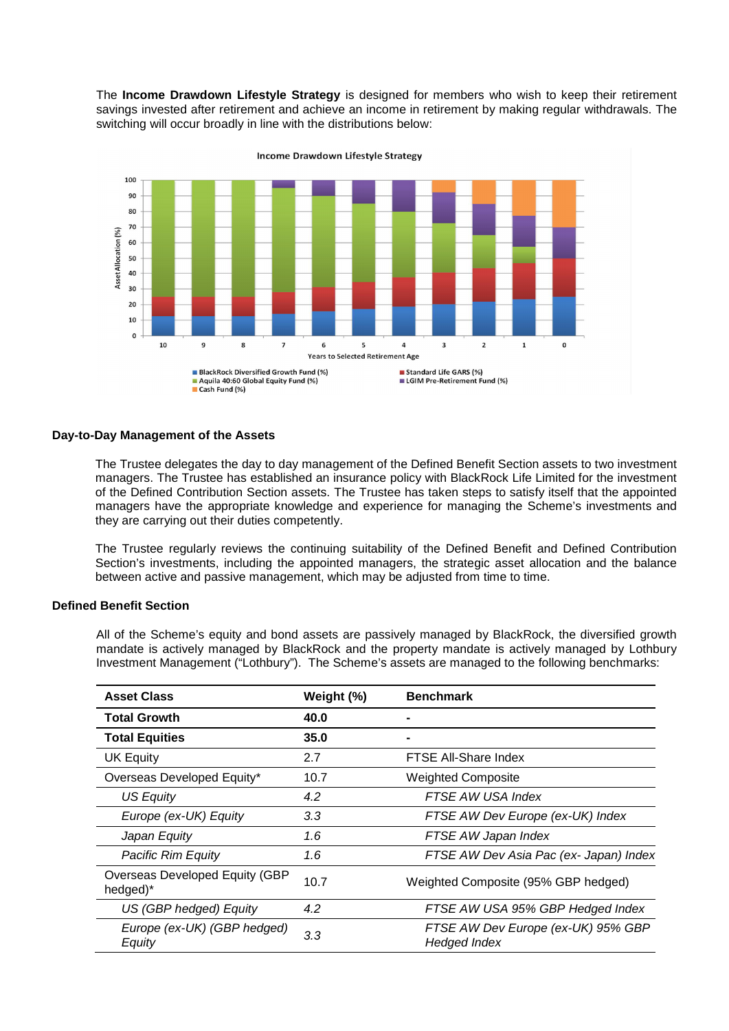The **Income Drawdown Lifestyle Strategy** is designed for members who wish to keep their retirement savings invested after retirement and achieve an income in retirement by making regular withdrawals. The switching will occur broadly in line with the distributions below:



Income Drawdown Lifestyle Strategy

#### **Day-to-Day Management of the Assets**

The Trustee delegates the day to day management of the Defined Benefit Section assets to two investment managers. The Trustee has established an insurance policy with BlackRock Life Limited for the investment of the Defined Contribution Section assets. The Trustee has taken steps to satisfy itself that the appointed managers have the appropriate knowledge and experience for managing the Scheme's investments and they are carrying out their duties competently.

The Trustee regularly reviews the continuing suitability of the Defined Benefit and Defined Contribution Section's investments, including the appointed managers, the strategic asset allocation and the balance between active and passive management, which may be adjusted from time to time.

#### **Defined Benefit Section**

All of the Scheme's equity and bond assets are passively managed by BlackRock, the diversified growth mandate is actively managed by BlackRock and the property mandate is actively managed by Lothbury Investment Management ("Lothbury"). The Scheme's assets are managed to the following benchmarks:

| <b>Asset Class</b>                         | Weight (%) | <b>Benchmark</b>                                          |
|--------------------------------------------|------------|-----------------------------------------------------------|
| <b>Total Growth</b>                        | 40.0       |                                                           |
| <b>Total Equities</b>                      | 35.0       |                                                           |
| <b>UK Equity</b>                           | 2.7        | FTSE All-Share Index                                      |
| Overseas Developed Equity*                 | 10.7       | <b>Weighted Composite</b>                                 |
| <b>US Equity</b>                           | 4.2        | FTSE AW USA Index                                         |
| Europe (ex-UK) Equity                      | 3.3        | FTSE AW Dev Europe (ex-UK) Index                          |
| Japan Equity                               | 1.6        | FTSE AW Japan Index                                       |
| <b>Pacific Rim Equity</b>                  | 1.6        | FTSE AW Dev Asia Pac (ex- Japan) Index                    |
| Overseas Developed Equity (GBP<br>hedged)* | 10.7       | Weighted Composite (95% GBP hedged)                       |
| US (GBP hedged) Equity                     | 4.2        | FTSE AW USA 95% GBP Hedged Index                          |
| Europe (ex-UK) (GBP hedged)<br>Equity      | 3.3        | FTSE AW Dev Europe (ex-UK) 95% GBP<br><b>Hedged Index</b> |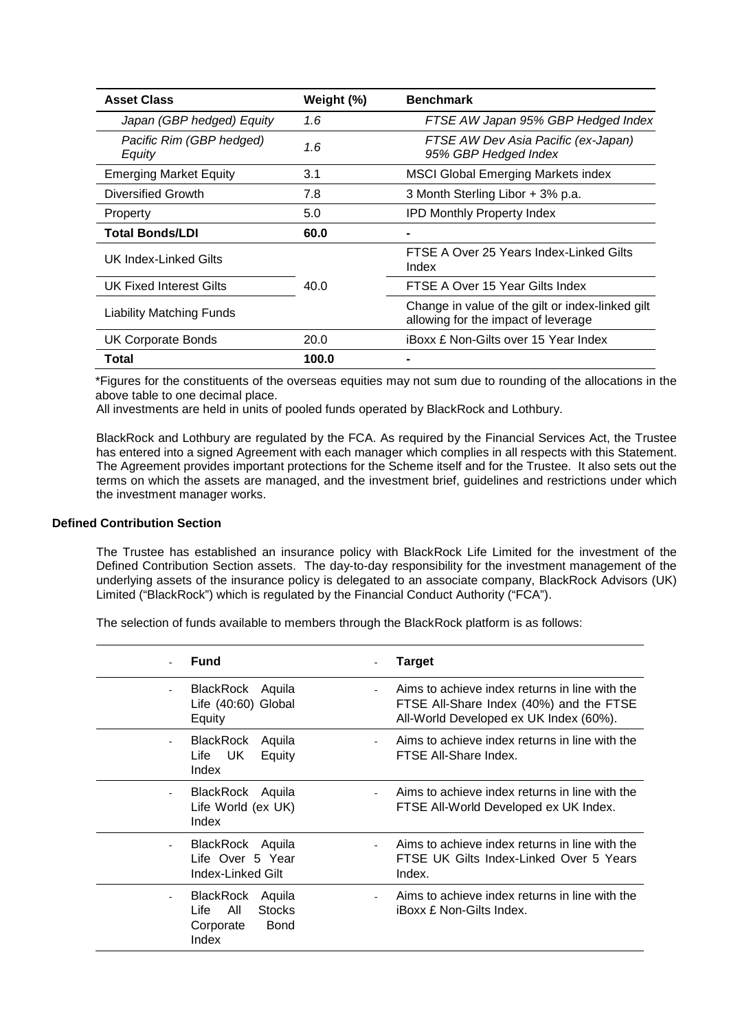| <b>Asset Class</b>                 | Weight (%) | <b>Benchmark</b>                                                                        |
|------------------------------------|------------|-----------------------------------------------------------------------------------------|
| Japan (GBP hedged) Equity          | 1.6        | FTSE AW Japan 95% GBP Hedged Index                                                      |
| Pacific Rim (GBP hedged)<br>Equity | 1.6        | FTSE AW Dev Asia Pacific (ex-Japan)<br>95% GBP Hedged Index                             |
| <b>Emerging Market Equity</b>      | 3.1        | <b>MSCI Global Emerging Markets index</b>                                               |
| Diversified Growth                 | 7.8        | 3 Month Sterling Libor + 3% p.a.                                                        |
| Property                           | 5.0        | <b>IPD Monthly Property Index</b>                                                       |
| <b>Total Bonds/LDI</b>             | 60.0       |                                                                                         |
| UK Index-Linked Gilts              | 40.0       | FTSE A Over 25 Years Index-Linked Gilts<br>Index                                        |
| UK Fixed Interest Gilts            |            | FTSE A Over 15 Year Gilts Index                                                         |
| <b>Liability Matching Funds</b>    |            | Change in value of the gilt or index-linked gilt<br>allowing for the impact of leverage |
| <b>UK Corporate Bonds</b>          | 20.0       | <b>iBoxx £ Non-Gilts over 15 Year Index</b>                                             |
| Total                              | 100.0      |                                                                                         |

\*Figures for the constituents of the overseas equities may not sum due to rounding of the allocations in the above table to one decimal place.

All investments are held in units of pooled funds operated by BlackRock and Lothbury.

BlackRock and Lothbury are regulated by the FCA. As required by the Financial Services Act, the Trustee has entered into a signed Agreement with each manager which complies in all respects with this Statement. The Agreement provides important protections for the Scheme itself and for the Trustee. It also sets out the terms on which the assets are managed, and the investment brief, guidelines and restrictions under which the investment manager works.

#### **Defined Contribution Section**

The Trustee has established an insurance policy with BlackRock Life Limited for the investment of the Defined Contribution Section assets. The day-to-day responsibility for the investment management of the underlying assets of the insurance policy is delegated to an associate company, BlackRock Advisors (UK) Limited ("BlackRock") which is regulated by the Financial Conduct Authority ("FCA").

The selection of funds available to members through the BlackRock platform is as follows:

|                          | <b>Fund</b>                                                                              | <b>Target</b>                                                                                                                       |
|--------------------------|------------------------------------------------------------------------------------------|-------------------------------------------------------------------------------------------------------------------------------------|
| $\overline{\phantom{a}}$ | BlackRock Aquila<br>Life (40:60) Global<br>Equity                                        | Aims to achieve index returns in line with the<br>FTSE All-Share Index (40%) and the FTSE<br>All-World Developed ex UK Index (60%). |
| $\overline{a}$           | BlackRock<br>Aquila<br>Life UK<br>Equity<br>Index                                        | Aims to achieve index returns in line with the<br>FTSE All-Share Index.                                                             |
|                          | BlackRock Aquila<br>Life World (ex UK)<br>Index                                          | Aims to achieve index returns in line with the<br>FTSE All-World Developed ex UK Index.                                             |
| $\overline{\phantom{a}}$ | BlackRock Aquila<br>Life Over 5 Year<br>Index-Linked Gilt                                | Aims to achieve index returns in line with the<br>FTSE UK Gilts Index-Linked Over 5 Years<br>Index.                                 |
| $\overline{\phantom{0}}$ | BlackRock<br>Aquila<br>All<br>Life<br><b>Stocks</b><br><b>Bond</b><br>Corporate<br>Index | Aims to achieve index returns in line with the<br><b>iBoxx £ Non-Gilts Index.</b>                                                   |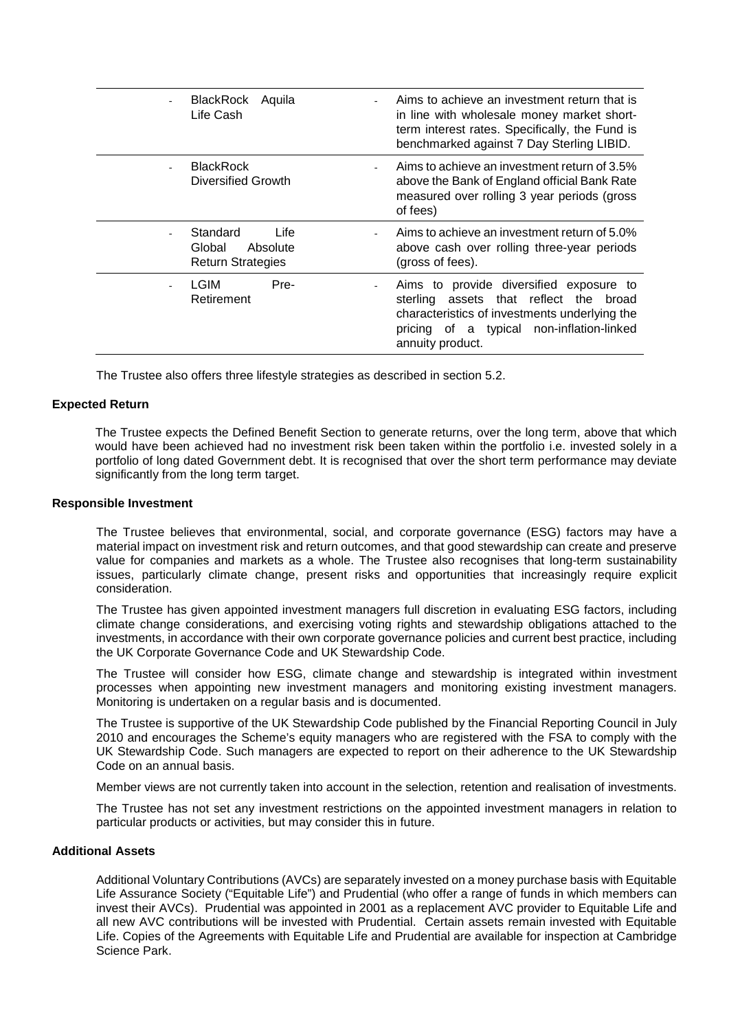| BlackRock Aquila<br>Life Cash                                      | Aims to achieve an investment return that is<br>in line with wholesale money market short-<br>term interest rates. Specifically, the Fund is<br>benchmarked against 7 Day Sterling LIBID.              |
|--------------------------------------------------------------------|--------------------------------------------------------------------------------------------------------------------------------------------------------------------------------------------------------|
| <b>BlackRock</b><br>Diversified Growth                             | Aims to achieve an investment return of 3.5%<br>above the Bank of England official Bank Rate<br>measured over rolling 3 year periods (gross<br>of fees)                                                |
| Standard<br>Life<br>Global<br>Absolute<br><b>Return Strategies</b> | Aims to achieve an investment return of 5.0%<br>above cash over rolling three-year periods<br>(gross of fees).                                                                                         |
| LGIM<br>Pre-<br>Retirement                                         | Aims to provide diversified exposure to<br>sterling assets that reflect the<br>broad<br>characteristics of investments underlying the<br>pricing of a typical non-inflation-linked<br>annuity product. |

The Trustee also offers three lifestyle strategies as described in section 5.2.

#### **Expected Return**

The Trustee expects the Defined Benefit Section to generate returns, over the long term, above that which would have been achieved had no investment risk been taken within the portfolio i.e. invested solely in a portfolio of long dated Government debt. It is recognised that over the short term performance may deviate significantly from the long term target.

#### **Responsible Investment**

The Trustee believes that environmental, social, and corporate governance (ESG) factors may have a material impact on investment risk and return outcomes, and that good stewardship can create and preserve value for companies and markets as a whole. The Trustee also recognises that long-term sustainability issues, particularly climate change, present risks and opportunities that increasingly require explicit consideration.

The Trustee has given appointed investment managers full discretion in evaluating ESG factors, including climate change considerations, and exercising voting rights and stewardship obligations attached to the investments, in accordance with their own corporate governance policies and current best practice, including the UK Corporate Governance Code and UK Stewardship Code.

The Trustee will consider how ESG, climate change and stewardship is integrated within investment processes when appointing new investment managers and monitoring existing investment managers. Monitoring is undertaken on a regular basis and is documented.

The Trustee is supportive of the UK Stewardship Code published by the Financial Reporting Council in July 2010 and encourages the Scheme's equity managers who are registered with the FSA to comply with the UK Stewardship Code. Such managers are expected to report on their adherence to the UK Stewardship Code on an annual basis.

Member views are not currently taken into account in the selection, retention and realisation of investments.

The Trustee has not set any investment restrictions on the appointed investment managers in relation to particular products or activities, but may consider this in future.

#### **Additional Assets**

Additional Voluntary Contributions (AVCs) are separately invested on a money purchase basis with Equitable Life Assurance Society ("Equitable Life") and Prudential (who offer a range of funds in which members can invest their AVCs). Prudential was appointed in 2001 as a replacement AVC provider to Equitable Life and all new AVC contributions will be invested with Prudential. Certain assets remain invested with Equitable Life. Copies of the Agreements with Equitable Life and Prudential are available for inspection at Cambridge Science Park.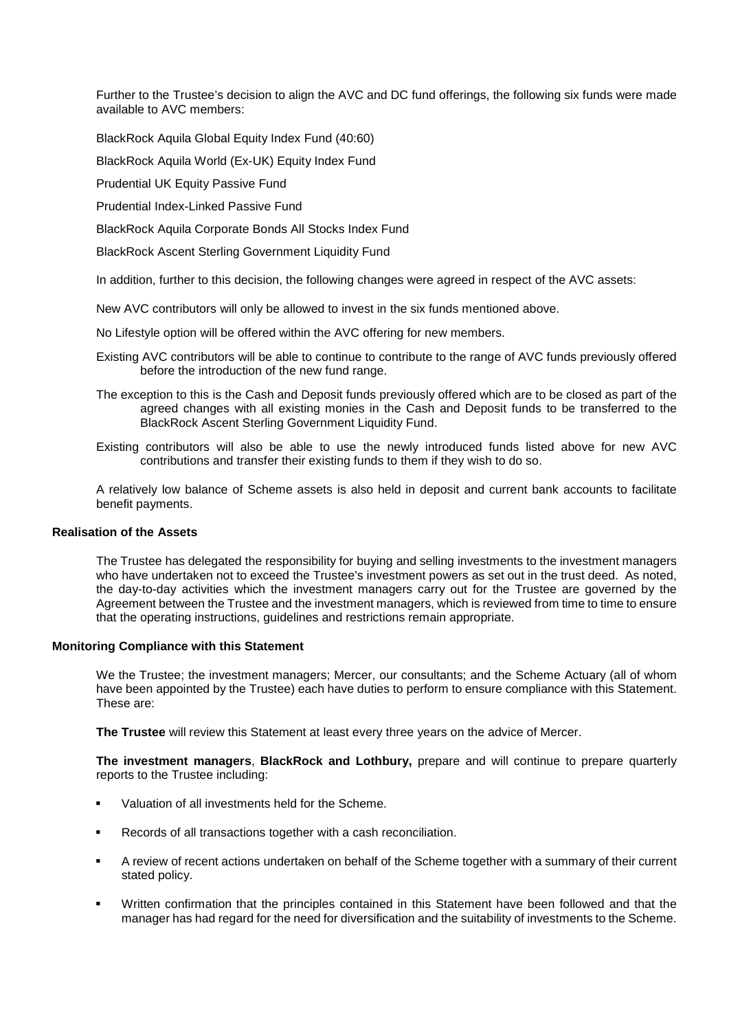Further to the Trustee's decision to align the AVC and DC fund offerings, the following six funds were made available to AVC members:

BlackRock Aquila Global Equity Index Fund (40:60)

BlackRock Aquila World (Ex-UK) Equity Index Fund

Prudential UK Equity Passive Fund

Prudential Index-Linked Passive Fund

BlackRock Aquila Corporate Bonds All Stocks Index Fund

BlackRock Ascent Sterling Government Liquidity Fund

In addition, further to this decision, the following changes were agreed in respect of the AVC assets:

New AVC contributors will only be allowed to invest in the six funds mentioned above.

No Lifestyle option will be offered within the AVC offering for new members.

- Existing AVC contributors will be able to continue to contribute to the range of AVC funds previously offered before the introduction of the new fund range.
- The exception to this is the Cash and Deposit funds previously offered which are to be closed as part of the agreed changes with all existing monies in the Cash and Deposit funds to be transferred to the BlackRock Ascent Sterling Government Liquidity Fund.
- Existing contributors will also be able to use the newly introduced funds listed above for new AVC contributions and transfer their existing funds to them if they wish to do so.

A relatively low balance of Scheme assets is also held in deposit and current bank accounts to facilitate benefit payments.

#### **Realisation of the Assets**

The Trustee has delegated the responsibility for buying and selling investments to the investment managers who have undertaken not to exceed the Trustee's investment powers as set out in the trust deed. As noted, the day-to-day activities which the investment managers carry out for the Trustee are governed by the Agreement between the Trustee and the investment managers, which is reviewed from time to time to ensure that the operating instructions, guidelines and restrictions remain appropriate.

#### **Monitoring Compliance with this Statement**

We the Trustee; the investment managers; Mercer, our consultants; and the Scheme Actuary (all of whom have been appointed by the Trustee) each have duties to perform to ensure compliance with this Statement. These are:

**The Trustee** will review this Statement at least every three years on the advice of Mercer.

**The investment managers**, **BlackRock and Lothbury,** prepare and will continue to prepare quarterly reports to the Trustee including:

- Valuation of all investments held for the Scheme.
- Records of all transactions together with a cash reconciliation.
- A review of recent actions undertaken on behalf of the Scheme together with a summary of their current stated policy.
- Written confirmation that the principles contained in this Statement have been followed and that the manager has had regard for the need for diversification and the suitability of investments to the Scheme.